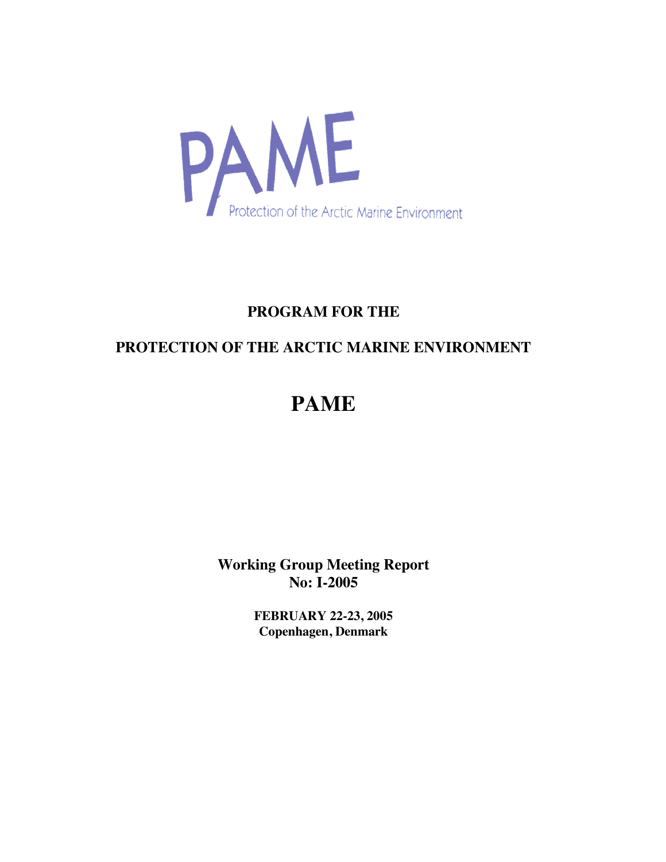

# **PROGRAM FOR THE**

# **PROTECTION OF THE ARCTIC MARINE ENVIRONMENT**

# **PAME**

**Working Group Meeting Report No: I-2005**

> **FEBRUARY 22-23, 2005 Copenhagen, Denmark**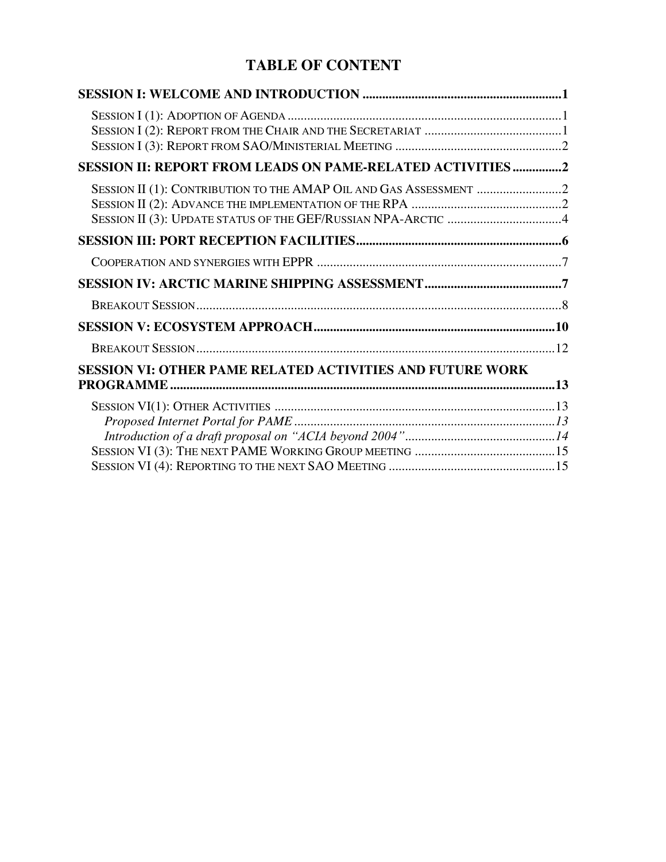# **TABLE OF CONTENT**

| SESSION II: REPORT FROM LEADS ON PAME-RELATED ACTIVITIES 2       |  |
|------------------------------------------------------------------|--|
|                                                                  |  |
|                                                                  |  |
|                                                                  |  |
|                                                                  |  |
|                                                                  |  |
|                                                                  |  |
|                                                                  |  |
| <b>SESSION VI: OTHER PAME RELATED ACTIVITIES AND FUTURE WORK</b> |  |
|                                                                  |  |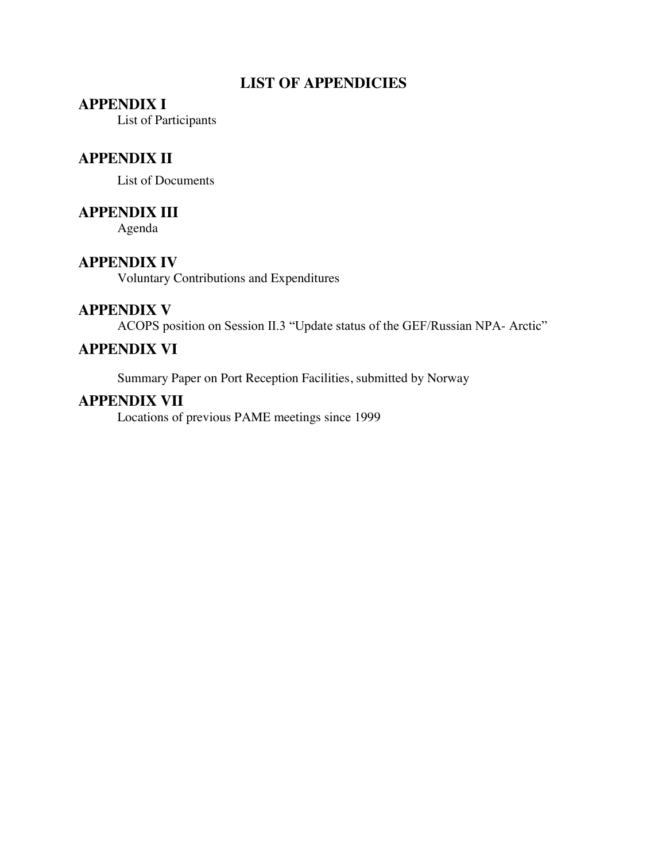# **LIST OF APPENDICIES**

### **APPENDIX I**

List of Participants

### **APPENDIX II**

List of Documents

### **APPENDIX III**

Agenda

### **APPENDIX IV**

Voluntary Contributions and Expenditures

### **APPENDIX V**

ACOPS position on Session II.3 "Update status of the GEF/Russian NPA- Arctic"

### **APPENDIX VI**

Summary Paper on Port Reception Facilities, submitted by Norway

### **APPENDIX VII**

Locations of previous PAME meetings since 1999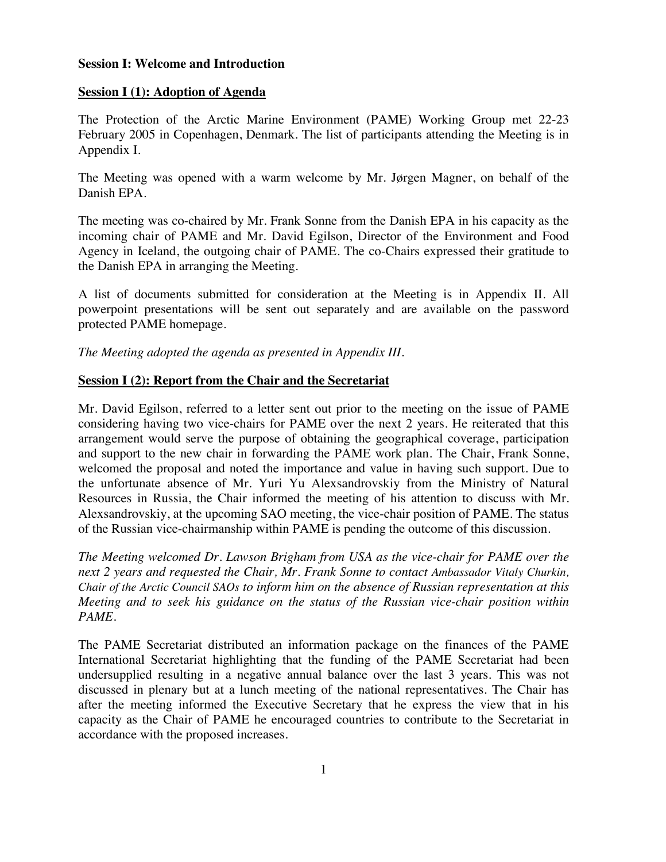#### **Session I: Welcome and Introduction**

#### **Session I (1): Adoption of Agenda**

The Protection of the Arctic Marine Environment (PAME) Working Group met 22-23 February 2005 in Copenhagen, Denmark. The list of participants attending the Meeting is in Appendix I.

The Meeting was opened with a warm welcome by Mr. Jørgen Magner, on behalf of the Danish EPA.

The meeting was co-chaired by Mr. Frank Sonne from the Danish EPA in his capacity as the incoming chair of PAME and Mr. David Egilson, Director of the Environment and Food Agency in Iceland, the outgoing chair of PAME. The co-Chairs expressed their gratitude to the Danish EPA in arranging the Meeting.

A list of documents submitted for consideration at the Meeting is in Appendix II. All powerpoint presentations will be sent out separately and are available on the password protected PAME homepage.

*The Meeting adopted the agenda as presented in Appendix III.*

#### **Session I (2): Report from the Chair and the Secretariat**

Mr. David Egilson, referred to a letter sent out prior to the meeting on the issue of PAME considering having two vice-chairs for PAME over the next 2 years. He reiterated that this arrangement would serve the purpose of obtaining the geographical coverage, participation and support to the new chair in forwarding the PAME work plan. The Chair, Frank Sonne, welcomed the proposal and noted the importance and value in having such support. Due to the unfortunate absence of Mr. Yuri Yu Alexsandrovskiy from the Ministry of Natural Resources in Russia, the Chair informed the meeting of his attention to discuss with Mr. Alexsandrovskiy, at the upcoming SAO meeting, the vice-chair position of PAME. The status of the Russian vice-chairmanship within PAME is pending the outcome of this discussion.

*The Meeting welcomed Dr. Lawson Brigham from USA as the vice-chair for PAME over the next 2 years and requested the Chair, Mr. Frank Sonne to contact Ambassador Vitaly Churkin, Chair of the Arctic Council SAOs to inform him on the absence of Russian representation at this Meeting and to seek his guidance on the status of the Russian vice-chair position within PAME.*

The PAME Secretariat distributed an information package on the finances of the PAME International Secretariat highlighting that the funding of the PAME Secretariat had been undersupplied resulting in a negative annual balance over the last 3 years. This was not discussed in plenary but at a lunch meeting of the national representatives. The Chair has after the meeting informed the Executive Secretary that he express the view that in his capacity as the Chair of PAME he encouraged countries to contribute to the Secretariat in accordance with the proposed increases.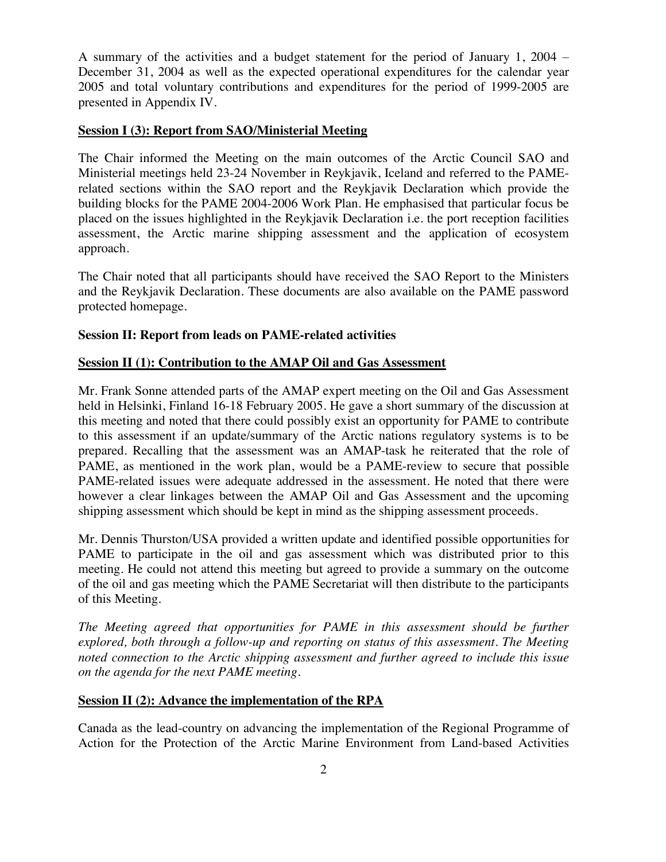A summary of the activities and a budget statement for the period of January 1, 2004 – December 31, 2004 as well as the expected operational expenditures for the calendar year 2005 and total voluntary contributions and expenditures for the period of 1999-2005 are presented in Appendix IV.

#### **Session I (3): Report from SAO/Ministerial Meeting**

The Chair informed the Meeting on the main outcomes of the Arctic Council SAO and Ministerial meetings held 23-24 November in Reykjavik, Iceland and referred to the PAMErelated sections within the SAO report and the Reykjavik Declaration which provide the building blocks for the PAME 2004-2006 Work Plan. He emphasised that particular focus be placed on the issues highlighted in the Reykjavik Declaration i.e. the port reception facilities assessment, the Arctic marine shipping assessment and the application of ecosystem approach.

The Chair noted that all participants should have received the SAO Report to the Ministers and the Reykjavik Declaration. These documents are also available on the PAME password protected homepage.

#### **Session II: Report from leads on PAME-related activities**

#### **Session II (1): Contribution to the AMAP Oil and Gas Assessment**

Mr. Frank Sonne attended parts of the AMAP expert meeting on the Oil and Gas Assessment held in Helsinki, Finland 16-18 February 2005. He gave a short summary of the discussion at this meeting and noted that there could possibly exist an opportunity for PAME to contribute to this assessment if an update/summary of the Arctic nations regulatory systems is to be prepared. Recalling that the assessment was an AMAP-task he reiterated that the role of PAME, as mentioned in the work plan, would be a PAME-review to secure that possible PAME-related issues were adequate addressed in the assessment. He noted that there were however a clear linkages between the AMAP Oil and Gas Assessment and the upcoming shipping assessment which should be kept in mind as the shipping assessment proceeds.

Mr. Dennis Thurston/USA provided a written update and identified possible opportunities for PAME to participate in the oil and gas assessment which was distributed prior to this meeting. He could not attend this meeting but agreed to provide a summary on the outcome of the oil and gas meeting which the PAME Secretariat will then distribute to the participants of this Meeting.

*The Meeting agreed that opportunities for PAME in this assessment should be further explored, both through a follow-up and reporting on status of this assessment. The Meeting noted connection to the Arctic shipping assessment and further agreed to include this issue on the agenda for the next PAME meeting.*

#### **Session II (2): Advance the implementation of the RPA**

Canada as the lead-country on advancing the implementation of the Regional Programme of Action for the Protection of the Arctic Marine Environment from Land-based Activities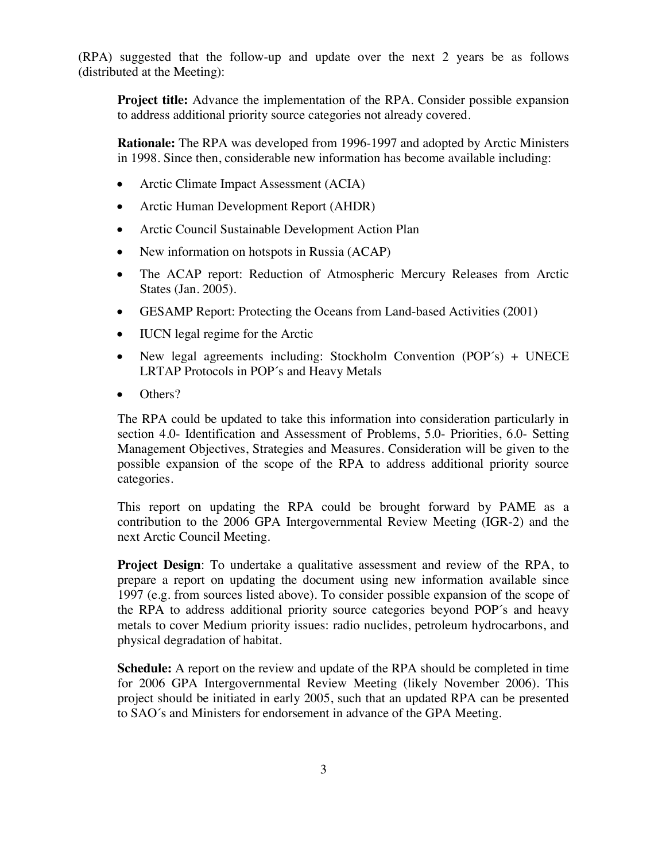(RPA) suggested that the follow-up and update over the next 2 years be as follows (distributed at the Meeting):

**Project title:** Advance the implementation of the RPA. Consider possible expansion to address additional priority source categories not already covered.

**Rationale:** The RPA was developed from 1996-1997 and adopted by Arctic Ministers in 1998. Since then, considerable new information has become available including:

- $\bullet$  Arctic Climate Impact Assessment (ACIA)
- Arctic Human Development Report (AHDR)
- Arctic Council Sustainable Development Action Plan
- $\bullet$  New information on hotspots in Russia (ACAP)
- The ACAP report: Reduction of Atmospheric Mercury Releases from Arctic States (Jan. 2005).
- GESAMP Report: Protecting the Oceans from Land-based Activities (2001)
- $\bullet$  IUCN legal regime for the Arctic
- New legal agreements including: Stockholm Convention (POP $\hat{s}$ ) + UNECE LRTAP Protocols in POP´s and Heavy Metals
- Others?

The RPA could be updated to take this information into consideration particularly in section 4.0- Identification and Assessment of Problems, 5.0- Priorities, 6.0- Setting Management Objectives, Strategies and Measures. Consideration will be given to the possible expansion of the scope of the RPA to address additional priority source categories.

This report on updating the RPA could be brought forward by PAME as a contribution to the 2006 GPA Intergovernmental Review Meeting (IGR-2) and the next Arctic Council Meeting.

**Project Design**: To undertake a qualitative assessment and review of the RPA, to prepare a report on updating the document using new information available since 1997 (e.g. from sources listed above). To consider possible expansion of the scope of the RPA to address additional priority source categories beyond POP´s and heavy metals to cover Medium priority issues: radio nuclides, petroleum hydrocarbons, and physical degradation of habitat.

**Schedule:** A report on the review and update of the RPA should be completed in time for 2006 GPA Intergovernmental Review Meeting (likely November 2006). This project should be initiated in early 2005, such that an updated RPA can be presented to SAO´s and Ministers for endorsement in advance of the GPA Meeting.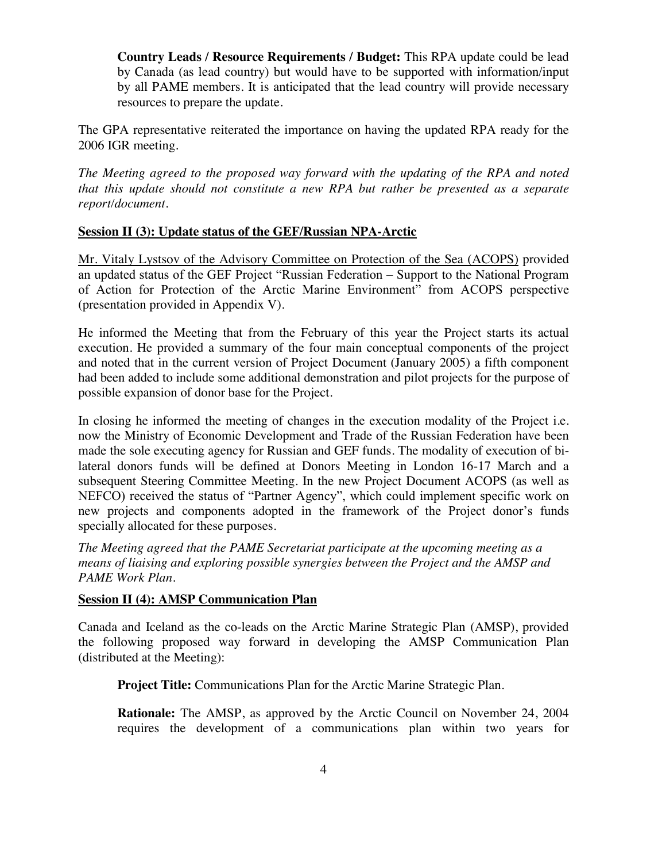**Country Leads / Resource Requirements / Budget:** This RPA update could be lead by Canada (as lead country) but would have to be supported with information/input by all PAME members. It is anticipated that the lead country will provide necessary resources to prepare the update.

The GPA representative reiterated the importance on having the updated RPA ready for the 2006 IGR meeting.

*The Meeting agreed to the proposed way forward with the updating of the RPA and noted that this update should not constitute a new RPA but rather be presented as a separate report/document.*

#### **Session II (3): Update status of the GEF/Russian NPA-Arctic**

Mr. Vitaly Lystsov of the Advisory Committee on Protection of the Sea (ACOPS) provided an updated status of the GEF Project "Russian Federation – Support to the National Program of Action for Protection of the Arctic Marine Environment" from ACOPS perspective (presentation provided in Appendix V).

He informed the Meeting that from the February of this year the Project starts its actual execution. He provided a summary of the four main conceptual components of the project and noted that in the current version of Project Document (January 2005) a fifth component had been added to include some additional demonstration and pilot projects for the purpose of possible expansion of donor base for the Project.

In closing he informed the meeting of changes in the execution modality of the Project i.e. now the Ministry of Economic Development and Trade of the Russian Federation have been made the sole executing agency for Russian and GEF funds. The modality of execution of bilateral donors funds will be defined at Donors Meeting in London 16-17 March and a subsequent Steering Committee Meeting. In the new Project Document ACOPS (as well as NEFCO) received the status of "Partner Agency", which could implement specific work on new projects and components adopted in the framework of the Project donor's funds specially allocated for these purposes.

*The Meeting agreed that the PAME Secretariat participate at the upcoming meeting as a means of liaising and exploring possible synergies between the Project and the AMSP and PAME Work Plan.*

#### **Session II (4): AMSP Communication Plan**

Canada and Iceland as the co-leads on the Arctic Marine Strategic Plan (AMSP), provided the following proposed way forward in developing the AMSP Communication Plan (distributed at the Meeting):

**Project Title:** Communications Plan for the Arctic Marine Strategic Plan.

**Rationale:** The AMSP, as approved by the Arctic Council on November 24, 2004 requires the development of a communications plan within two years for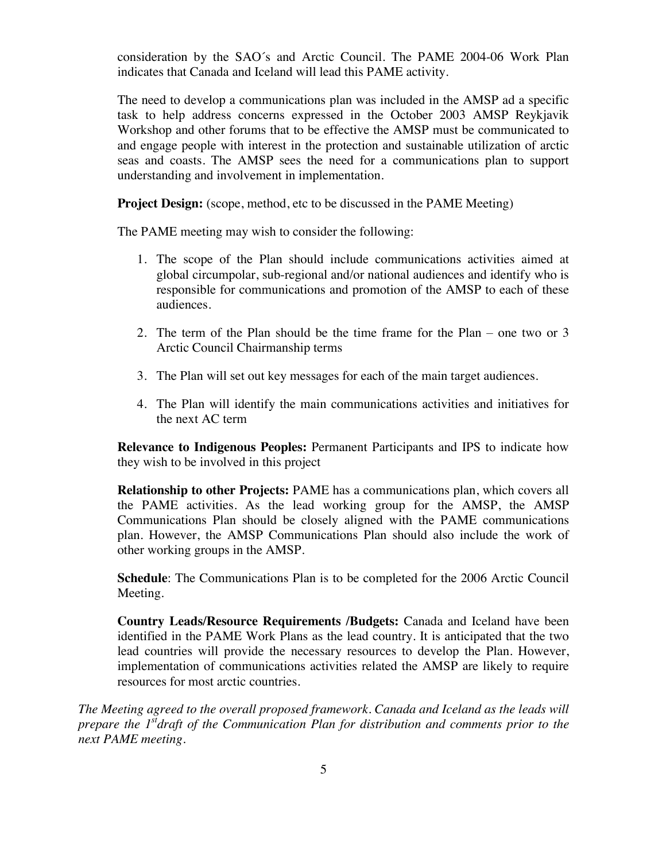consideration by the SAO´s and Arctic Council. The PAME 2004-06 Work Plan indicates that Canada and Iceland will lead this PAME activity.

The need to develop a communications plan was included in the AMSP ad a specific task to help address concerns expressed in the October 2003 AMSP Reykjavik Workshop and other forums that to be effective the AMSP must be communicated to and engage people with interest in the protection and sustainable utilization of arctic seas and coasts. The AMSP sees the need for a communications plan to support understanding and involvement in implementation.

**Project Design:** (scope, method, etc to be discussed in the PAME Meeting)

The PAME meeting may wish to consider the following:

- 1. The scope of the Plan should include communications activities aimed at global circumpolar, sub-regional and/or national audiences and identify who is responsible for communications and promotion of the AMSP to each of these audiences.
- 2. The term of the Plan should be the time frame for the Plan one two or 3 Arctic Council Chairmanship terms
- 3. The Plan will set out key messages for each of the main target audiences.
- 4. The Plan will identify the main communications activities and initiatives for the next AC term

**Relevance to Indigenous Peoples:** Permanent Participants and IPS to indicate how they wish to be involved in this project

**Relationship to other Projects:** PAME has a communications plan, which covers all the PAME activities. As the lead working group for the AMSP, the AMSP Communications Plan should be closely aligned with the PAME communications plan. However, the AMSP Communications Plan should also include the work of other working groups in the AMSP.

**Schedule**: The Communications Plan is to be completed for the 2006 Arctic Council Meeting.

**Country Leads/Resource Requirements /Budgets:** Canada and Iceland have been identified in the PAME Work Plans as the lead country. It is anticipated that the two lead countries will provide the necessary resources to develop the Plan. However, implementation of communications activities related the AMSP are likely to require resources for most arctic countries.

*The Meeting agreed to the overall proposed framework. Canada and Iceland as the leads will prepare the 1stdraft of the Communication Plan for distribution and comments prior to the next PAME meeting.*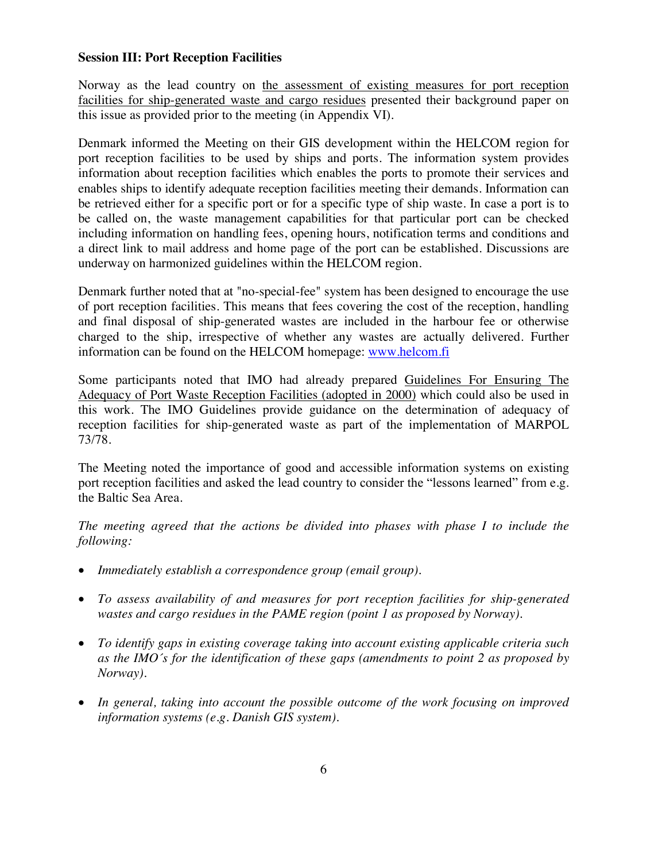#### **Session III: Port Reception Facilities**

Norway as the lead country on the assessment of existing measures for port reception facilities for ship-generated waste and cargo residues presented their background paper on this issue as provided prior to the meeting (in Appendix VI).

Denmark informed the Meeting on their GIS development within the HELCOM region for port reception facilities to be used by ships and ports. The information system provides information about reception facilities which enables the ports to promote their services and enables ships to identify adequate reception facilities meeting their demands. Information can be retrieved either for a specific port or for a specific type of ship waste. In case a port is to be called on, the waste management capabilities for that particular port can be checked including information on handling fees, opening hours, notification terms and conditions and a direct link to mail address and home page of the port can be established. Discussions are underway on harmonized guidelines within the HELCOM region.

Denmark further noted that at "no-special-fee" system has been designed to encourage the use of port reception facilities. This means that fees covering the cost of the reception, handling and final disposal of ship-generated wastes are included in the harbour fee or otherwise charged to the ship, irrespective of whether any wastes are actually delivered. Further information can be found on the HELCOM homepage: www.helcom.fi

Some participants noted that IMO had already prepared Guidelines For Ensuring The Adequacy of Port Waste Reception Facilities (adopted in 2000) which could also be used in this work. The IMO Guidelines provide guidance on the determination of adequacy of reception facilities for ship-generated waste as part of the implementation of MARPOL 73/78.

The Meeting noted the importance of good and accessible information systems on existing port reception facilities and asked the lead country to consider the "lessons learned" from e.g. the Baltic Sea Area.

*The meeting agreed that the actions be divided into phases with phase I to include the following:*

- x *Immediately establish a correspondence group (email group).*
- x *To assess availability of and measures for port reception facilities for ship-generated wastes and cargo residues in the PAME region (point 1 as proposed by Norway).*
- x *To identify gaps in existing coverage taking into account existing applicable criteria such as the IMO´s for the identification of these gaps (amendments to point 2 as proposed by Norway).*
- x *In general, taking into account the possible outcome of the work focusing on improved information systems (e.g. Danish GIS system).*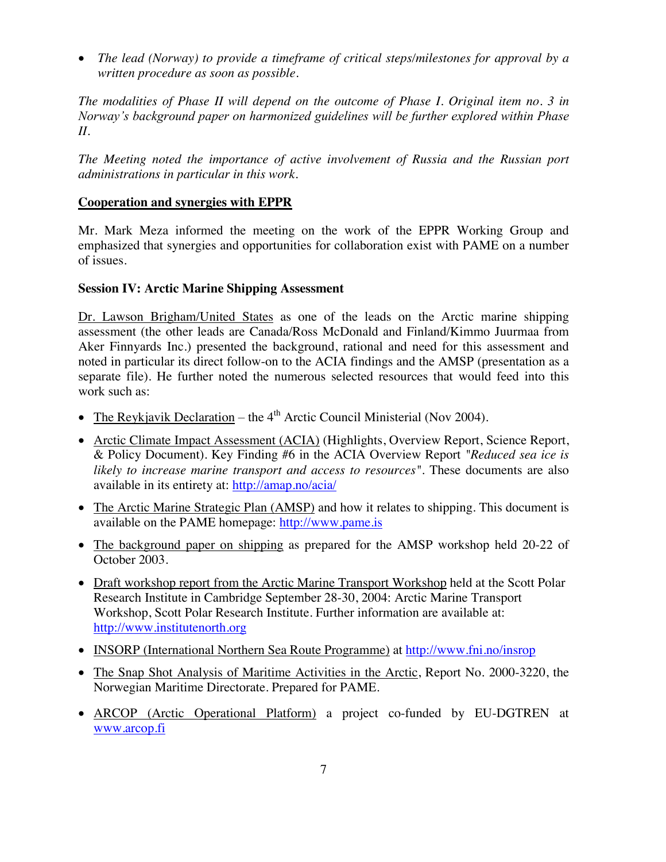• *The lead (Norway) to provide a timeframe of critical steps/milestones for approval by a written procedure as soon as possible.*

*The modalities of Phase II will depend on the outcome of Phase I. Original item no. 3 in* Norway's background paper on harmonized guidelines will be further explored within Phase *II.*

*The Meeting noted the importance of active involvement of Russia and the Russian port administrations in particular in this work.*

#### **Cooperation and synergies with EPPR**

Mr. Mark Meza informed the meeting on the work of the EPPR Working Group and emphasized that synergies and opportunities for collaboration exist with PAME on a number of issues.

#### **Session IV: Arctic Marine Shipping Assessment**

Dr. Lawson Brigham/United States as one of the leads on the Arctic marine shipping assessment (the other leads are Canada/Ross McDonald and Finland/Kimmo Juurmaa from Aker Finnyards Inc.) presented the background, rational and need for this assessment and noted in particular its direct follow-on to the ACIA findings and the AMSP (presentation as a separate file). He further noted the numerous selected resources that would feed into this work such as:

- The Reykjavik Declaration the  $4<sup>th</sup>$  Arctic Council Ministerial (Nov 2004).
- Arctic Climate Impact Assessment (ACIA) (Highlights, Overview Report, Science Report, & Policy Document). Key Finding #6 in the ACIA Overview Report *"Reduced sea ice is likely to increase marine transport and access to resources"*. These documents are also available in its entirety at: http://amap.no/acia/
- The Arctic Marine Strategic Plan (AMSP) and how it relates to shipping. This document is available on the PAME homepage: http://www.pame.is
- The background paper on shipping as prepared for the AMSP workshop held 20-22 of October 2003.
- Draft workshop report from the Arctic Marine Transport Workshop held at the Scott Polar Research Institute in Cambridge September 28-30, 2004: Arctic Marine Transport Workshop, Scott Polar Research Institute. Further information are available at: http://www.institutenorth.org
- INSORP (International Northern Sea Route Programme) at http://www.fni.no/insrop
- The Snap Shot Analysis of Maritime Activities in the Arctic, Report No. 2000-3220, the Norwegian Maritime Directorate. Prepared for PAME.
- ARCOP (Arctic Operational Platform) a project co-funded by EU-DGTREN at www.arcop.fi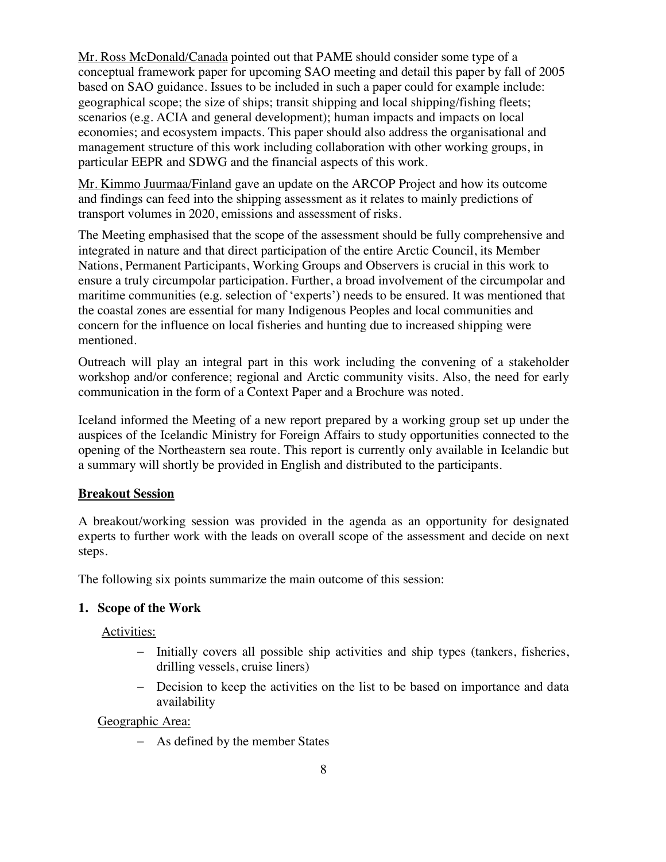Mr. Ross McDonald/Canada pointed out that PAME should consider some type of a conceptual framework paper for upcoming SAO meeting and detail this paper by fall of 2005 based on SAO guidance. Issues to be included in such a paper could for example include: geographical scope; the size of ships; transit shipping and local shipping/fishing fleets; scenarios (e.g. ACIA and general development); human impacts and impacts on local economies; and ecosystem impacts. This paper should also address the organisational and management structure of this work including collaboration with other working groups, in particular EEPR and SDWG and the financial aspects of this work.

Mr. Kimmo Juurmaa/Finland gave an update on the ARCOP Project and how its outcome and findings can feed into the shipping assessment as it relates to mainly predictions of transport volumes in 2020, emissions and assessment of risks.

The Meeting emphasised that the scope of the assessment should be fully comprehensive and integrated in nature and that direct participation of the entire Arctic Council, its Member Nations, Permanent Participants, Working Groups and Observers is crucial in this work to ensure a truly circumpolar participation. Further, a broad involvement of the circumpolar and maritime communities (e.g. selection of 'experts') needs to be ensured. It was mentioned that the coastal zones are essential for many Indigenous Peoples and local communities and concern for the influence on local fisheries and hunting due to increased shipping were mentioned.

Outreach will play an integral part in this work including the convening of a stakeholder workshop and/or conference; regional and Arctic community visits. Also, the need for early communication in the form of a Context Paper and a Brochure was noted.

Iceland informed the Meeting of a new report prepared by a working group set up under the auspices of the Icelandic Ministry for Foreign Affairs to study opportunities connected to the opening of the Northeastern sea route. This report is currently only available in Icelandic but a summary will shortly be provided in English and distributed to the participants.

#### **Breakout Session**

A breakout/working session was provided in the agenda as an opportunity for designated experts to further work with the leads on overall scope of the assessment and decide on next steps.

The following six points summarize the main outcome of this session:

#### **1. Scope of the Work**

Activities:

- Initially covers all possible ship activities and ship types (tankers, fisheries, drilling vessels, cruise liners)
- Decision to keep the activities on the list to be based on importance and data availability

Geographic Area:

As defined by the member States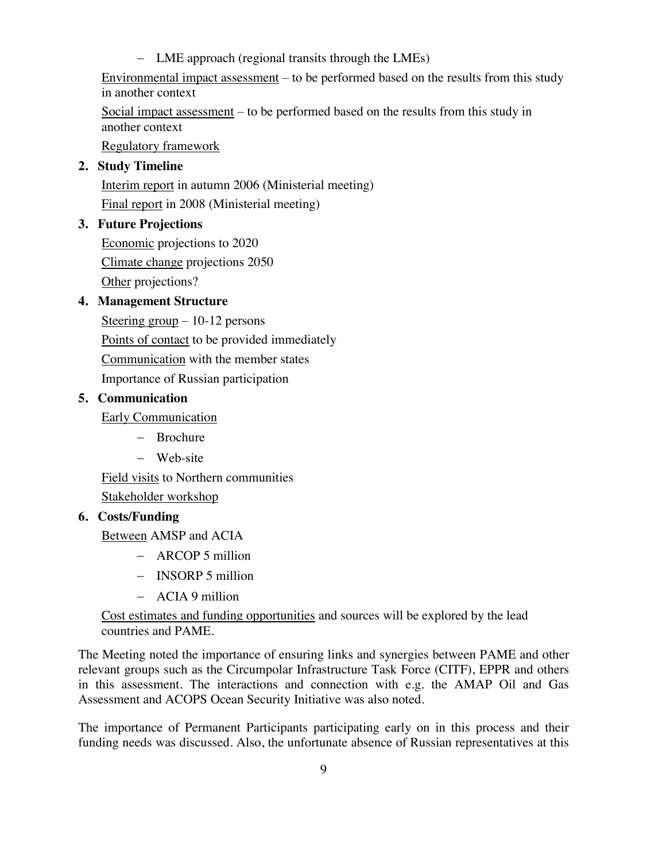- LME approach (regional transits through the LMEs) Environmental impact assessment – to be performed based on the results from this study in another context

Social impact assessment – to be performed based on the results from this study in another context

Regulatory framework

### **2. Study Timeline**

Interim report in autumn 2006 (Ministerial meeting) Final report in 2008 (Ministerial meeting)

### **3. Future Projections**

Economic projections to 2020 Climate change projections 2050 Other projections?

### **4. Management Structure**

Steering group – 10-12 persons Points of contact to be provided immediately Communication with the member states Importance of Russian participation

#### **5. Communication**

Early Communication

- Brochure
- Web-site

Field visits to Northern communities Stakeholder workshop

### **6. Costs/Funding**

Between AMSP and ACIA

- ARCOP 5 million
- **INSORP** 5 million
- ACIA 9 million

Cost estimates and funding opportunities and sources will be explored by the lead countries and PAME.

The Meeting noted the importance of ensuring links and synergies between PAME and other relevant groups such as the Circumpolar Infrastructure Task Force (CITF), EPPR and others in this assessment. The interactions and connection with e.g. the AMAP Oil and Gas Assessment and ACOPS Ocean Security Initiative was also noted.

The importance of Permanent Participants participating early on in this process and their funding needs was discussed. Also, the unfortunate absence of Russian representatives at this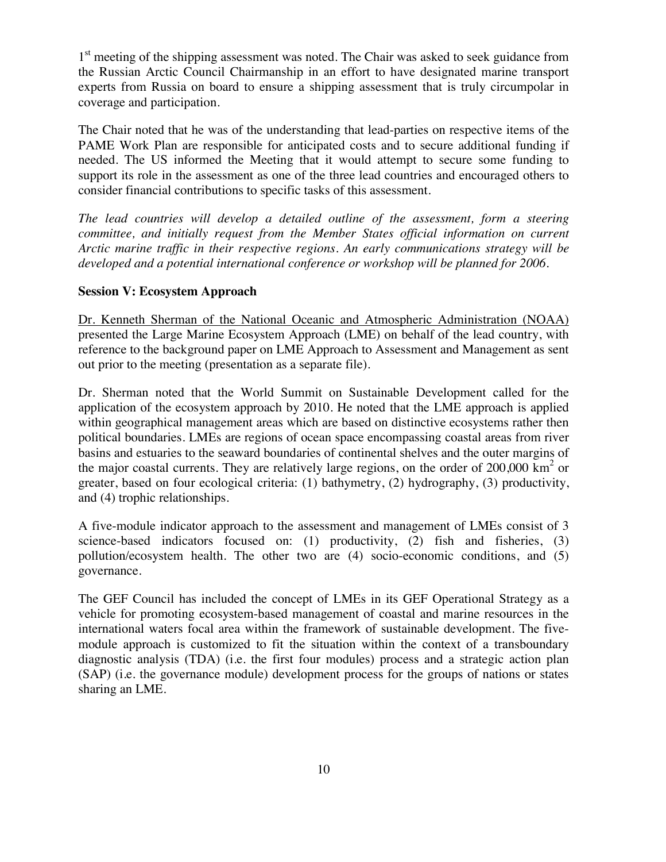1<sup>st</sup> meeting of the shipping assessment was noted. The Chair was asked to seek guidance from the Russian Arctic Council Chairmanship in an effort to have designated marine transport experts from Russia on board to ensure a shipping assessment that is truly circumpolar in coverage and participation.

The Chair noted that he was of the understanding that lead-parties on respective items of the PAME Work Plan are responsible for anticipated costs and to secure additional funding if needed. The US informed the Meeting that it would attempt to secure some funding to support its role in the assessment as one of the three lead countries and encouraged others to consider financial contributions to specific tasks of this assessment.

*The lead countries will develop a detailed outline of the assessment, form a steering committee, and initially request from the Member States official information on current Arctic marine traffic in their respective regions. An early communications strategy will be developed and a potential international conference or workshop will be planned for 2006.*

#### **Session V: Ecosystem Approach**

Dr. Kenneth Sherman of the National Oceanic and Atmospheric Administration (NOAA) presented the Large Marine Ecosystem Approach (LME) on behalf of the lead country, with reference to the background paper on LME Approach to Assessment and Management as sent out prior to the meeting (presentation as a separate file).

Dr. Sherman noted that the World Summit on Sustainable Development called for the application of the ecosystem approach by 2010. He noted that the LME approach is applied within geographical management areas which are based on distinctive ecosystems rather then political boundaries. LMEs are regions of ocean space encompassing coastal areas from river basins and estuaries to the seaward boundaries of continental shelves and the outer margins of the major coastal currents. They are relatively large regions, on the order of 200,000  $\text{km}^2$  or greater, based on four ecological criteria: (1) bathymetry, (2) hydrography, (3) productivity, and (4) trophic relationships.

A five-module indicator approach to the assessment and management of LMEs consist of 3 science-based indicators focused on: (1) productivity, (2) fish and fisheries, (3) pollution/ecosystem health. The other two are (4) socio-economic conditions, and (5) governance.

The GEF Council has included the concept of LMEs in its GEF Operational Strategy as a vehicle for promoting ecosystem-based management of coastal and marine resources in the international waters focal area within the framework of sustainable development. The fivemodule approach is customized to fit the situation within the context of a transboundary diagnostic analysis (TDA) (i.e. the first four modules) process and a strategic action plan (SAP) (i.e. the governance module) development process for the groups of nations or states sharing an LME.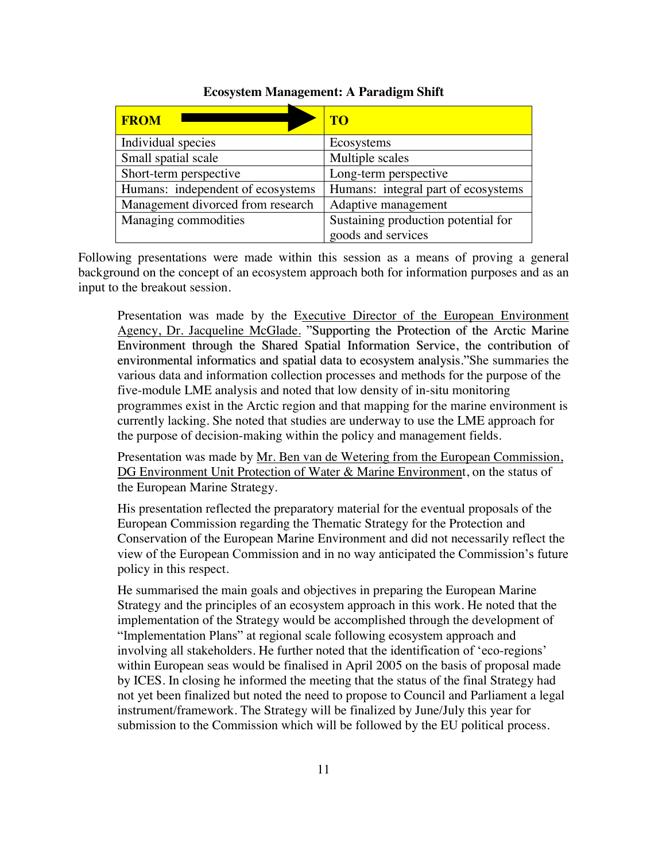| <b>FROM</b>                       | <b>TO</b>                           |  |
|-----------------------------------|-------------------------------------|--|
| Individual species                | Ecosystems                          |  |
| Small spatial scale               | Multiple scales                     |  |
| Short-term perspective            | Long-term perspective               |  |
| Humans: independent of ecosystems | Humans: integral part of ecosystems |  |
| Management divorced from research | Adaptive management                 |  |
| Managing commodities              | Sustaining production potential for |  |
|                                   | goods and services                  |  |

#### **Ecosystem Management: A Paradigm Shift**

Following presentations were made within this session as a means of proving a general background on the concept of an ecosystem approach both for information purposes and as an input to the breakout session.

Presentation was made by the Executive Director of the European Environment Agency, Dr. Jacqueline McGlade. "Supporting the Protection of the Arctic Marine Environment through the Shared Spatial Information Service, the contribution of environmental informatics and spatial data to ecosystem analysis."She summaries the various data and information collection processes and methods for the purpose of the five-module LME analysis and noted that low density of in-situ monitoring programmes exist in the Arctic region and that mapping for the marine environment is currently lacking. She noted that studies are underway to use the LME approach for the purpose of decision-making within the policy and management fields.

Presentation was made by Mr. Ben van de Wetering from the European Commission, DG Environment Unit Protection of Water & Marine Environment, on the status of the European Marine Strategy.

His presentation reflected the preparatory material for the eventual proposals of the European Commission regarding the Thematic Strategy for the Protection and Conservation of the European Marine Environment and did not necessarily reflect the view of the European Commission and in no way anticipated the Commission's future policy in this respect.

He summarised the main goals and objectives in preparing the European Marine Strategy and the principles of an ecosystem approach in this work. He noted that the implementation of the Strategy would be accomplished through the development of "Implementation Plans" at regional scale following ecosystem approach and involving all stakeholders. He further noted that the identification of 'eco-regions' within European seas would be finalised in April 2005 on the basis of proposal made by ICES. In closing he informed the meeting that the status of the final Strategy had not yet been finalized but noted the need to propose to Council and Parliament a legal instrument/framework. The Strategy will be finalized by June/July this year for submission to the Commission which will be followed by the EU political process.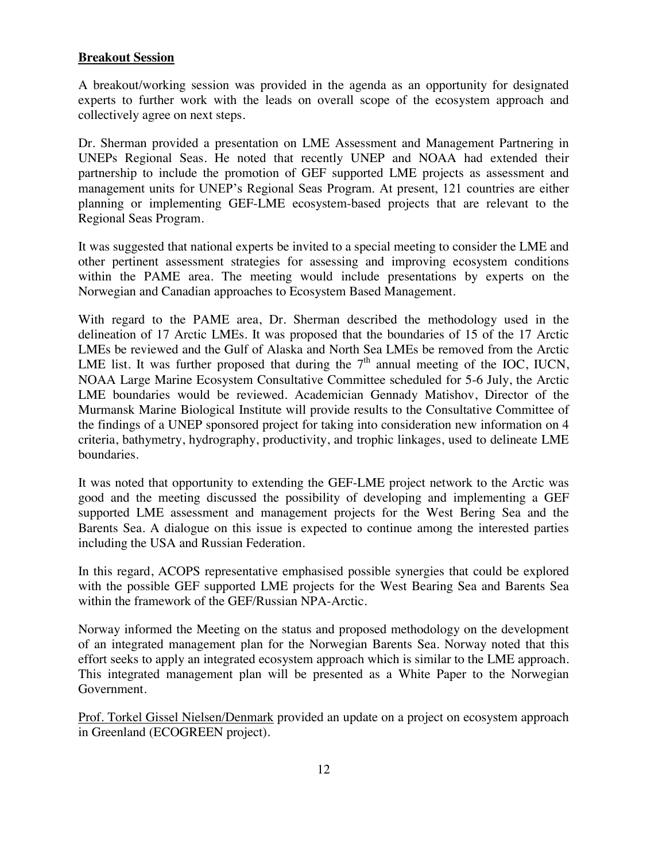#### **Breakout Session**

A breakout/working session was provided in the agenda as an opportunity for designated experts to further work with the leads on overall scope of the ecosystem approach and collectively agree on next steps.

Dr. Sherman provided a presentation on LME Assessment and Management Partnering in UNEPs Regional Seas. He noted that recently UNEP and NOAA had extended their partnership to include the promotion of GEF supported LME projects as assessment and management units for UNEP's Regional Seas Program. At present, 121 countries are either planning or implementing GEF-LME ecosystem-based projects that are relevant to the Regional Seas Program.

It was suggested that national experts be invited to a special meeting to consider the LME and other pertinent assessment strategies for assessing and improving ecosystem conditions within the PAME area. The meeting would include presentations by experts on the Norwegian and Canadian approaches to Ecosystem Based Management.

With regard to the PAME area, Dr. Sherman described the methodology used in the delineation of 17 Arctic LMEs. It was proposed that the boundaries of 15 of the 17 Arctic LMEs be reviewed and the Gulf of Alaska and North Sea LMEs be removed from the Arctic LME list. It was further proposed that during the  $7<sup>th</sup>$  annual meeting of the IOC, IUCN, NOAA Large Marine Ecosystem Consultative Committee scheduled for 5-6 July, the Arctic LME boundaries would be reviewed. Academician Gennady Matishov, Director of the Murmansk Marine Biological Institute will provide results to the Consultative Committee of the findings of a UNEP sponsored project for taking into consideration new information on 4 criteria, bathymetry, hydrography, productivity, and trophic linkages, used to delineate LME boundaries.

It was noted that opportunity to extending the GEF-LME project network to the Arctic was good and the meeting discussed the possibility of developing and implementing a GEF supported LME assessment and management projects for the West Bering Sea and the Barents Sea. A dialogue on this issue is expected to continue among the interested parties including the USA and Russian Federation.

In this regard, ACOPS representative emphasised possible synergies that could be explored with the possible GEF supported LME projects for the West Bearing Sea and Barents Sea within the framework of the GEF/Russian NPA-Arctic.

Norway informed the Meeting on the status and proposed methodology on the development of an integrated management plan for the Norwegian Barents Sea. Norway noted that this effort seeks to apply an integrated ecosystem approach which is similar to the LME approach. This integrated management plan will be presented as a White Paper to the Norwegian Government.

Prof. Torkel Gissel Nielsen/Denmark provided an update on a project on ecosystem approach in Greenland (ECOGREEN project).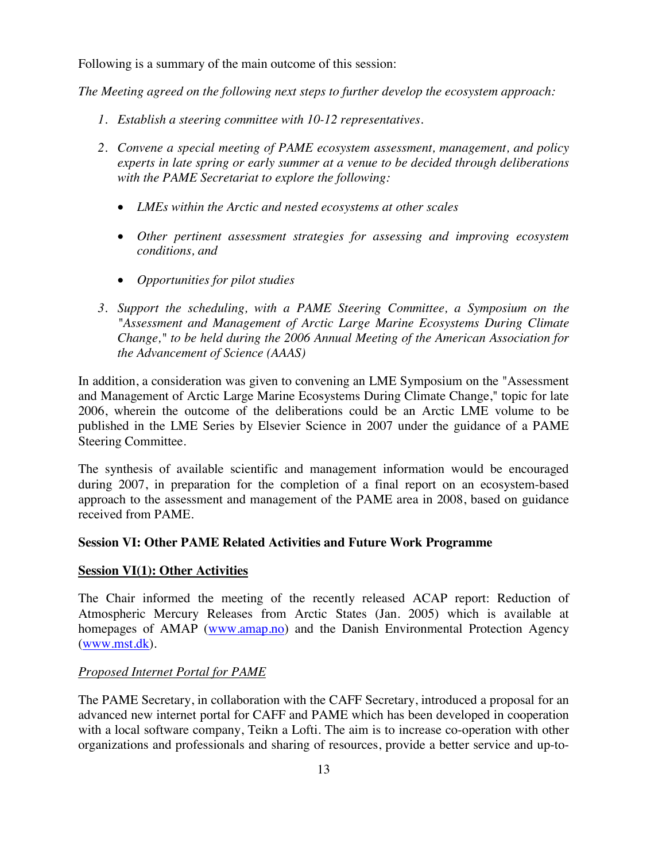Following is a summary of the main outcome of this session:

*The Meeting agreed on the following next steps to further develop the ecosystem approach:*

- *1. Establish a steering committee with 10-12 representatives.*
- *2. Convene a special meeting of PAME ecosystem assessment, management, and policy experts in late spring or early summer at a venue to be decided through deliberations with the PAME Secretariat to explore the following:*
	- x *LMEs within the Arctic and nested ecosystems at other scales*
	- x *Other pertinent assessment strategies for assessing and improving ecosystem conditions, and*
	- x *Opportunities for pilot studies*
- *3. Support the scheduling, with a PAME Steering Committee, a Symposium on the "Assessment and Management of Arctic Large Marine Ecosystems During Climate Change," to be held during the 2006 Annual Meeting of the American Association for the Advancement of Science (AAAS)*

In addition, a consideration was given to convening an LME Symposium on the "Assessment and Management of Arctic Large Marine Ecosystems During Climate Change," topic for late 2006, wherein the outcome of the deliberations could be an Arctic LME volume to be published in the LME Series by Elsevier Science in 2007 under the guidance of a PAME Steering Committee.

The synthesis of available scientific and management information would be encouraged during 2007, in preparation for the completion of a final report on an ecosystem-based approach to the assessment and management of the PAME area in 2008, based on guidance received from PAME.

#### **Session VI: Other PAME Related Activities and Future Work Programme**

#### **Session VI(1): Other Activities**

The Chair informed the meeting of the recently released ACAP report: Reduction of Atmospheric Mercury Releases from Arctic States (Jan. 2005) which is available at homepages of AMAP (www.amap.no) and the Danish Environmental Protection Agency (www.mst.dk).

#### *Proposed Internet Portal for PAME*

The PAME Secretary, in collaboration with the CAFF Secretary, introduced a proposal for an advanced new internet portal for CAFF and PAME which has been developed in cooperation with a local software company, Teikn a Lofti. The aim is to increase co-operation with other organizations and professionals and sharing of resources, provide a better service and up-to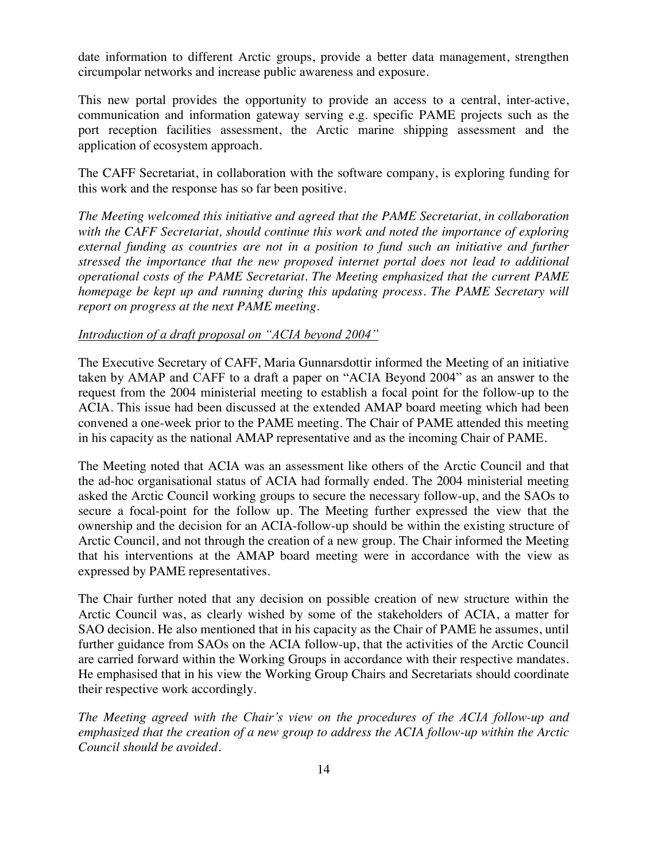date information to different Arctic groups, provide a better data management, strengthen circumpolar networks and increase public awareness and exposure.

This new portal provides the opportunity to provide an access to a central, inter-active, communication and information gateway serving e.g. specific PAME projects such as the port reception facilities assessment, the Arctic marine shipping assessment and the application of ecosystem approach.

The CAFF Secretariat, in collaboration with the software company, is exploring funding for this work and the response has so far been positive.

*The Meeting welcomed this initiative and agreed that the PAME Secretariat, in collaboration with the CAFF Secretariat, should continue this work and noted the importance of exploring external funding as countries are not in a position to fund such an initiative and further stressed the importance that the new proposed internet portal does not lead to additional operational costs of the PAME Secretariat. The Meeting emphasized that the current PAME homepage be kept up and running during this updating process. The PAME Secretary will report on progress at the next PAME meeting.*

#### Introduction of a draft proposal on "ACIA beyond 2004"

The Executive Secretary of CAFF, Maria Gunnarsdottir informed the Meeting of an initiative taken by AMAP and CAFF to a draft a paper on "ACIA Beyond 2004" as an answer to the request from the 2004 ministerial meeting to establish a focal point for the follow-up to the ACIA. This issue had been discussed at the extended AMAP board meeting which had been convened a one-week prior to the PAME meeting. The Chair of PAME attended this meeting in his capacity as the national AMAP representative and as the incoming Chair of PAME.

The Meeting noted that ACIA was an assessment like others of the Arctic Council and that the ad-hoc organisational status of ACIA had formally ended. The 2004 ministerial meeting asked the Arctic Council working groups to secure the necessary follow-up, and the SAOs to secure a focal-point for the follow up. The Meeting further expressed the view that the ownership and the decision for an ACIA-follow-up should be within the existing structure of Arctic Council, and not through the creation of a new group. The Chair informed the Meeting that his interventions at the AMAP board meeting were in accordance with the view as expressed by PAME representatives.

The Chair further noted that any decision on possible creation of new structure within the Arctic Council was, as clearly wished by some of the stakeholders of ACIA, a matter for SAO decision. He also mentioned that in his capacity as the Chair of PAME he assumes, until further guidance from SAOs on the ACIA follow-up, that the activities of the Arctic Council are carried forward within the Working Groups in accordance with their respective mandates. He emphasised that in his view the Working Group Chairs and Secretariats should coordinate their respective work accordingly.

*The Mee*ting agreed with the Chair's view on the procedures of the ACIA follow*-up and emphasized that the creation of a new group to address the ACIA follow-up within the Arctic Council should be avoided.*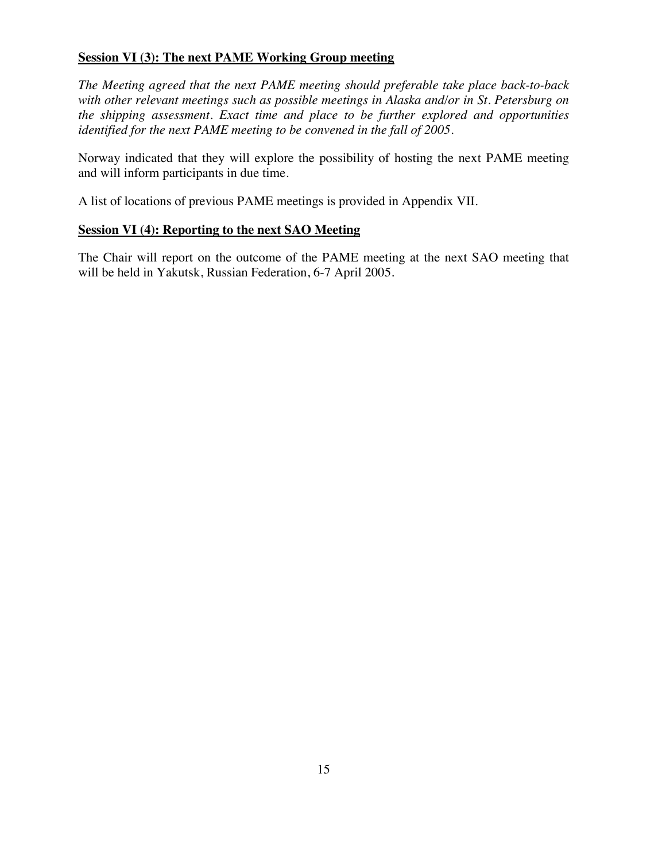#### **Session VI (3): The next PAME Working Group meeting**

*The Meeting agreed that the next PAME meeting should preferable take place back-to-back with other relevant meetings such as possible meetings in Alaska and/or in St. Petersburg on the shipping assessment. Exact time and place to be further explored and opportunities identified for the next PAME meeting to be convened in the fall of 2005.*

Norway indicated that they will explore the possibility of hosting the next PAME meeting and will inform participants in due time.

A list of locations of previous PAME meetings is provided in Appendix VII.

### **Session VI (4): Reporting to the next SAO Meeting**

The Chair will report on the outcome of the PAME meeting at the next SAO meeting that will be held in Yakutsk, Russian Federation, 6-7 April 2005.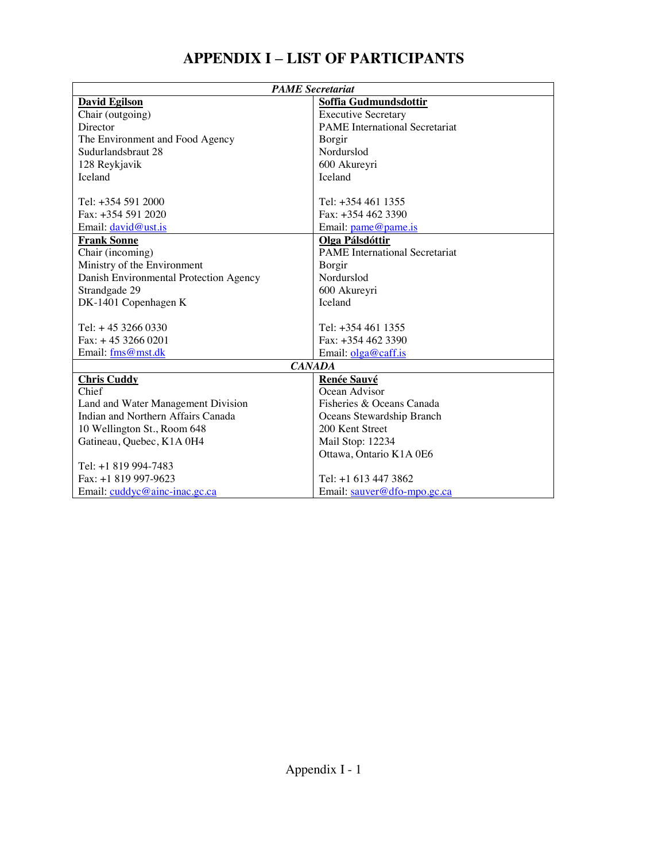# **APPENDIX I** – **LIST OF PARTICIPANTS**

| <b>PAME</b> Secretariat                                         |                                       |  |
|-----------------------------------------------------------------|---------------------------------------|--|
| <b>David Egilson</b>                                            | Soffia Gudmundsdottir                 |  |
| Chair (outgoing)                                                | <b>Executive Secretary</b>            |  |
| Director                                                        | <b>PAME</b> International Secretariat |  |
| The Environment and Food Agency                                 | Borgir                                |  |
| Sudurlandsbraut 28                                              | Nordurslod                            |  |
| 128 Reykjavik                                                   | 600 Akureyri                          |  |
| Iceland                                                         | Iceland                               |  |
|                                                                 |                                       |  |
| Tel: $+354$ 591 2000                                            | Tel: +354 461 1355                    |  |
| Fax: +354 591 2020                                              | Fax: $+3544623390$                    |  |
| Email: david@ust.is                                             | Email: pame@pame.is                   |  |
| <b>Frank Sonne</b>                                              | Olga Pálsdóttir                       |  |
| Chair (incoming)                                                | <b>PAME</b> International Secretariat |  |
| Ministry of the Environment                                     | Borgir                                |  |
| Danish Environmental Protection Agency                          | Nordurslod                            |  |
| Strandgade 29                                                   | 600 Akureyri                          |  |
| DK-1401 Copenhagen K                                            | <b>Iceland</b>                        |  |
|                                                                 |                                       |  |
| Tel: $+4532660330$                                              | Tel: +354 461 1355                    |  |
| $Fax: + 4532660201$                                             | Fax: $+3544623390$                    |  |
| Email: fms@mst.dk                                               | Email: $olga@caff.is$                 |  |
| <b>CANADA</b>                                                   |                                       |  |
| <b>Chris Cuddy</b>                                              | Renée Sauvé                           |  |
| Chief                                                           | Ocean Advisor                         |  |
| Fisheries & Oceans Canada<br>Land and Water Management Division |                                       |  |
| Indian and Northern Affairs Canada<br>Oceans Stewardship Branch |                                       |  |
| 10 Wellington St., Room 648                                     | 200 Kent Street                       |  |
| Gatineau, Quebec, K1A 0H4                                       | Mail Stop: 12234                      |  |
|                                                                 | Ottawa, Ontario K1A 0E6               |  |
| Tel: +1 819 994-7483                                            |                                       |  |
| Fax: +1 819 997-9623                                            | Tel: +1 613 447 3862                  |  |
| Email: cuddyc@ainc-inac.gc.ca                                   | Email: sauver@dfo-mpo.gc.ca           |  |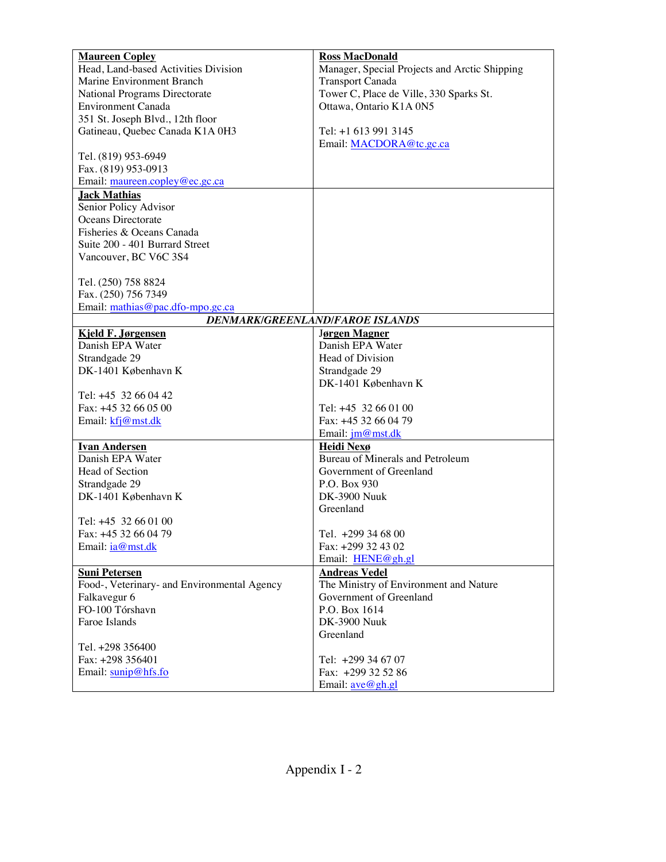| <b>Maureen Copley</b>                       | <b>Ross MacDonald</b>                         |
|---------------------------------------------|-----------------------------------------------|
| Head, Land-based Activities Division        | Manager, Special Projects and Arctic Shipping |
| Marine Environment Branch                   | <b>Transport Canada</b>                       |
|                                             |                                               |
| National Programs Directorate               | Tower C, Place de Ville, 330 Sparks St.       |
| Environment Canada                          | Ottawa, Ontario K1A 0N5                       |
| 351 St. Joseph Blvd., 12th floor            |                                               |
| Gatineau, Quebec Canada K1A 0H3             | Tel: +1 613 991 3145                          |
|                                             | Email: MACDORA@tc.gc.ca                       |
| Tel. (819) 953-6949                         |                                               |
| Fax. (819) 953-0913                         |                                               |
| Email: maureen.copley@ec.gc.ca              |                                               |
| <b>Jack Mathias</b>                         |                                               |
| Senior Policy Advisor                       |                                               |
| Oceans Directorate                          |                                               |
| Fisheries & Oceans Canada                   |                                               |
| Suite 200 - 401 Burrard Street              |                                               |
|                                             |                                               |
| Vancouver, BC V6C 3S4                       |                                               |
|                                             |                                               |
| Tel. (250) 758 8824                         |                                               |
| Fax. (250) 756 7349                         |                                               |
| Email: mathias@pac.dfo-mpo.gc.ca            |                                               |
|                                             | DENMARK/GREENLAND/FAROE ISLANDS               |
| Kjeld F. Jørgensen                          | Jørgen Magner                                 |
| Danish EPA Water                            | Danish EPA Water                              |
| Strandgade 29                               | Head of Division                              |
| DK-1401 København K                         | Strandgade 29                                 |
|                                             | DK-1401 København K                           |
| Tel: +45 32 66 04 42                        |                                               |
| Fax: +45 32 66 05 00                        | Tel: +45 32 66 01 00                          |
|                                             | Fax: +45 32 66 04 79                          |
| Email: kfj@mst.dk                           |                                               |
|                                             | Email: jm@mst.dk                              |
| <b>Ivan Andersen</b>                        | Heidi Nexø                                    |
| Danish EPA Water                            | Bureau of Minerals and Petroleum              |
| Head of Section                             | Government of Greenland                       |
| Strandgade 29                               | P.O. Box 930                                  |
| DK-1401 København K                         | <b>DK-3900 Nuuk</b>                           |
|                                             | Greenland                                     |
| Tel: +45 32 66 01 00                        |                                               |
| Fax: +45 32 66 04 79                        | Tel. +299 34 68 00                            |
| Email: <i>ia@mst.dk</i>                     | Fax: +299 32 43 02                            |
|                                             | Email: HENE@gh.gl                             |
| <b>Suni Petersen</b>                        | <b>Andreas Vedel</b>                          |
| Food-, Veterinary- and Environmental Agency | The Ministry of Environment and Nature        |
|                                             |                                               |
| Falkavegur 6                                | Government of Greenland                       |
| FO-100 Tórshavn                             | P.O. Box 1614                                 |
| Faroe Islands                               | <b>DK-3900 Nuuk</b>                           |
|                                             | Greenland                                     |
| Tel. +298 356400                            |                                               |
| Fax: +298 356401                            | Tel: +299 34 67 07                            |
| Email: sunip@hfs.fo                         | Fax: +299 32 52 86                            |
|                                             | Email: ave@gh.gl                              |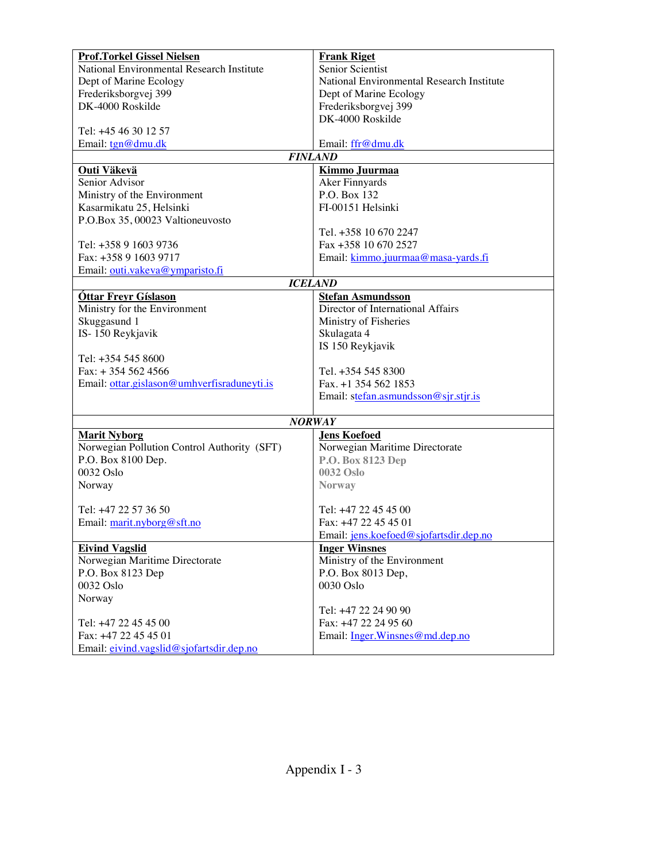| <b>Prof.Torkel Gissel Nielsen</b>           | <b>Frank Riget</b>                        |  |
|---------------------------------------------|-------------------------------------------|--|
| National Environmental Research Institute   | Senior Scientist                          |  |
| Dept of Marine Ecology                      | National Environmental Research Institute |  |
| Frederiksborgvej 399                        | Dept of Marine Ecology                    |  |
| DK-4000 Roskilde                            | Frederiksborgvej 399                      |  |
|                                             | DK-4000 Roskilde                          |  |
| Tel: +45 46 30 12 57                        |                                           |  |
| Email: $tgn@dmu$ .dk                        | Email: ffr@dmu.dk                         |  |
|                                             | <b>FINLAND</b>                            |  |
| Outi Väkevä                                 | <b>Kimmo Juurmaa</b>                      |  |
| Senior Advisor                              | Aker Finnyards                            |  |
| Ministry of the Environment                 | P.O. Box 132                              |  |
| Kasarmikatu 25, Helsinki                    | FI-00151 Helsinki                         |  |
| P.O.Box 35, 00023 Valtioneuvosto            |                                           |  |
|                                             | Tel. +358 10 670 2247                     |  |
| Tel: +358 9 1603 9736                       | Fax +358 10 670 2527                      |  |
| Fax: +358 9 1603 9717                       | Email: kimmo.juurmaa@masa-yards.fi        |  |
| Email: outi.vakeva@ymparisto.fi             |                                           |  |
|                                             | <b>ICELAND</b>                            |  |
| Óttar Freyr Gíslason                        | <b>Stefan Asmundsson</b>                  |  |
| Ministry for the Environment                | Director of International Affairs         |  |
| Skuggasund 1                                | Ministry of Fisheries                     |  |
| IS-150 Reykjavik                            | Skulagata 4                               |  |
|                                             |                                           |  |
| Tel: $+354$ 545 8600                        | IS 150 Reykjavik                          |  |
|                                             |                                           |  |
| $Fax: + 3545624566$                         | Tel. +354 545 8300                        |  |
| Email: ottar.gislason@umhverfisraduneyti.is | Fax. +1 354 562 1853                      |  |
|                                             | Email: stefan.asmundsson@sjr.stjr.is      |  |
|                                             | <b>NORWAY</b>                             |  |
| <b>Marit Nyborg</b>                         | <b>Jens Koefoed</b>                       |  |
| Norwegian Pollution Control Authority (SFT) | Norwegian Maritime Directorate            |  |
| P.O. Box 8100 Dep.                          | P.O. Box 8123 Dep                         |  |
| 0032 Oslo                                   | 0032 Oslo                                 |  |
| Norway                                      | <b>Norway</b>                             |  |
|                                             |                                           |  |
| Tel: +47 22 57 36 50                        | Tel: +47 22 45 45 00                      |  |
| Email: marit.nyborg@sft.no                  | Fax: +47 22 45 45 01                      |  |
|                                             | Email: $iens.koefoed@siofartsdir.dep.no$  |  |
| <b>Eivind Vagslid</b>                       | <b>Inger Winsnes</b>                      |  |
| Norwegian Maritime Directorate              | Ministry of the Environment               |  |
| P.O. Box 8123 Dep                           | P.O. Box 8013 Dep,                        |  |
| 0032 Oslo                                   | 0030 Oslo                                 |  |
| Norway                                      |                                           |  |
|                                             | Tel: +47 22 24 90 90                      |  |
| Tel: +47 22 45 45 00                        | Fax: +47 22 24 95 60                      |  |
| Fax: +47 22 45 45 01                        | Email: Inger.Winsnes@md.dep.no            |  |
| Email: eivind.vagslid@sjofartsdir.dep.no    |                                           |  |
|                                             |                                           |  |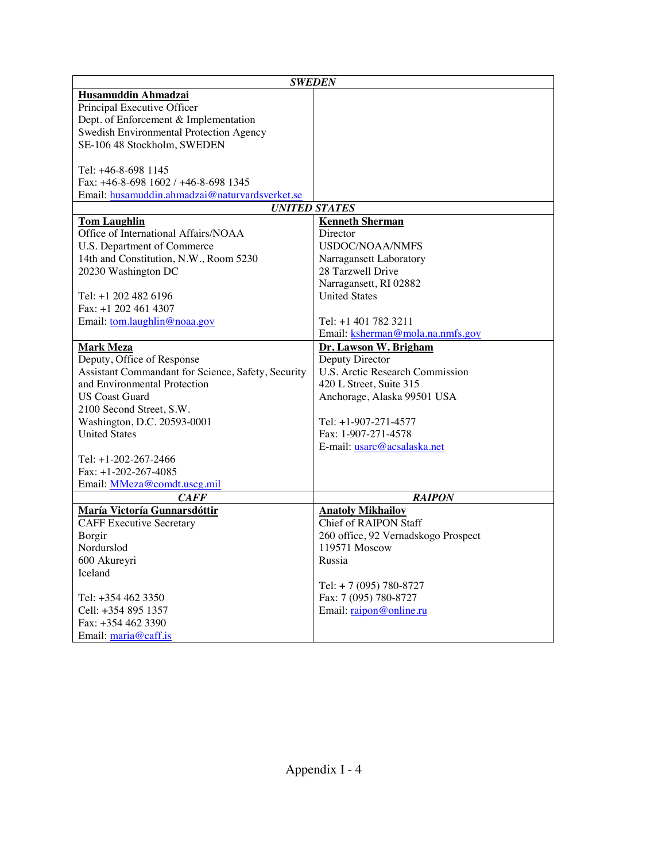|                                                    | <b>SWEDEN</b>                       |
|----------------------------------------------------|-------------------------------------|
| Husamuddin Ahmadzai                                |                                     |
| Principal Executive Officer                        |                                     |
| Dept. of Enforcement & Implementation              |                                     |
| Swedish Environmental Protection Agency            |                                     |
| SE-106 48 Stockholm, SWEDEN                        |                                     |
|                                                    |                                     |
| Tel: +46-8-698 1145                                |                                     |
| Fax: $+46-8-698$ 1602 / $+46-8-698$ 1345           |                                     |
| Email: husamuddin.ahmadzai@naturvardsverket.se     |                                     |
|                                                    | <b>UNITED STATES</b>                |
| <b>Tom Laughlin</b>                                | <b>Kenneth Sherman</b>              |
| Office of International Affairs/NOAA               | Director                            |
| U.S. Department of Commerce                        | <b>USDOC/NOAA/NMFS</b>              |
| 14th and Constitution, N.W., Room 5230             | Narragansett Laboratory             |
| 20230 Washington DC                                | 28 Tarzwell Drive                   |
|                                                    | Narragansett, RI 02882              |
| Tel: +1 202 482 6196                               | <b>United States</b>                |
| Fax: +1 202 461 4307                               |                                     |
| Email: tom.laughlin@noaa.gov                       | Tel: +1 401 782 3211                |
|                                                    | Email: ksherman@mola.na.nmfs.gov    |
| <u>Mark Meza</u>                                   | Dr. Lawson W. Brigham               |
| Deputy, Office of Response                         | Deputy Director                     |
| Assistant Commandant for Science, Safety, Security | U.S. Arctic Research Commission     |
| and Environmental Protection                       | 420 L Street, Suite 315             |
| <b>US Coast Guard</b>                              | Anchorage, Alaska 99501 USA         |
| 2100 Second Street, S.W.                           |                                     |
| Washington, D.C. 20593-0001                        | Tel: +1-907-271-4577                |
| <b>United States</b>                               | Fax: 1-907-271-4578                 |
|                                                    | E-mail: usarc@acsalaska.net         |
| Tel: $+1-202-267-2466$                             |                                     |
| Fax: $+1-202-267-4085$                             |                                     |
| Email: MMeza@comdt.uscg.mil                        |                                     |
| <b>CAFF</b>                                        | <b>RAIPON</b>                       |
| María Victoría Gunnarsdóttir                       | <b>Anatoly Mikhailov</b>            |
| <b>CAFF Executive Secretary</b>                    | Chief of RAIPON Staff               |
| Borgir                                             | 260 office, 92 Vernadskogo Prospect |
| Nordurslod                                         | 119571 Moscow                       |
| 600 Akureyri                                       | Russia                              |
| Iceland                                            |                                     |
|                                                    |                                     |
|                                                    | Tel: $+ 7(095) 780-8727$            |
| Tel: +354 462 3350                                 | Fax: 7 (095) 780-8727               |
| Cell: +354 895 1357                                | Email: raipon@online.ru             |
| Fax: +354 462 3390                                 |                                     |
| Email: maria@caff.is                               |                                     |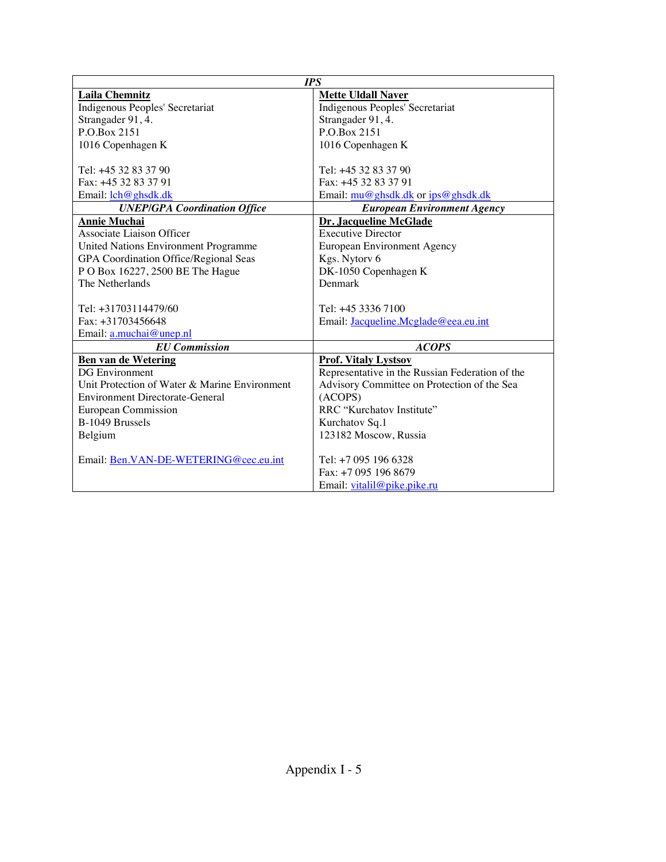|                                               | <b>IPS</b>                                      |  |
|-----------------------------------------------|-------------------------------------------------|--|
| <b>Laila Chemnitz</b>                         | <b>Mette Uldall Naver</b>                       |  |
| Indigenous Peoples' Secretariat               | Indigenous Peoples' Secretariat                 |  |
| Strangader 91, 4.                             | Strangader 91, 4.                               |  |
| P.O.Box 2151                                  | P.O.Box 2151                                    |  |
| 1016 Copenhagen K                             | 1016 Copenhagen K                               |  |
|                                               |                                                 |  |
| Tel: +45 32 83 37 90                          | Tel: +45 32 83 37 90                            |  |
| Fax: +45 32 83 37 91                          | Fax: +45 32 83 37 91                            |  |
| Email: $\text{lch@ghsdk.dk}$                  | Email: mu@ghsdk.dk or ips@ghsdk.dk              |  |
| <b>UNEP/GPA Coordination Office</b>           | <b>European Environment Agency</b>              |  |
| <b>Annie Muchai</b>                           | Dr. Jacqueline McGlade                          |  |
| Associate Liaison Officer                     | <b>Executive Director</b>                       |  |
| United Nations Environment Programme          | European Environment Agency                     |  |
| GPA Coordination Office/Regional Seas         | Kgs. Nytorv 6                                   |  |
| P O Box 16227, 2500 BE The Hague              | DK-1050 Copenhagen K                            |  |
| The Netherlands                               | Denmark                                         |  |
|                                               |                                                 |  |
| Tel: +31703114479/60                          | Tel: +45 3336 7100                              |  |
| $Fax: +31703456648$                           | Email: Jacqueline.Mcglade@eea.eu.int            |  |
| Email: a.muchai@unep.nl                       |                                                 |  |
| <b>EU</b> Commission                          | <b>ACOPS</b>                                    |  |
| <b>Ben van de Wetering</b>                    | <b>Prof. Vitaly Lystsov</b>                     |  |
| <b>DG</b> Environment                         | Representative in the Russian Federation of the |  |
| Unit Protection of Water & Marine Environment | Advisory Committee on Protection of the Sea     |  |
| <b>Environment Directorate-General</b>        | (ACOPS)                                         |  |
| European Commission                           | RRC "Kurchatov Institute"                       |  |
| B-1049 Brussels                               | Kurchatov Sq.1                                  |  |
| Belgium                                       | 123182 Moscow, Russia                           |  |
|                                               |                                                 |  |
| Email: Ben.VAN-DE-WETERING@cec.eu.int         | Tel: +7 095 196 6328                            |  |
|                                               | Fax: +7 095 196 8679                            |  |
|                                               | Email: vitalil@pike.pike.ru                     |  |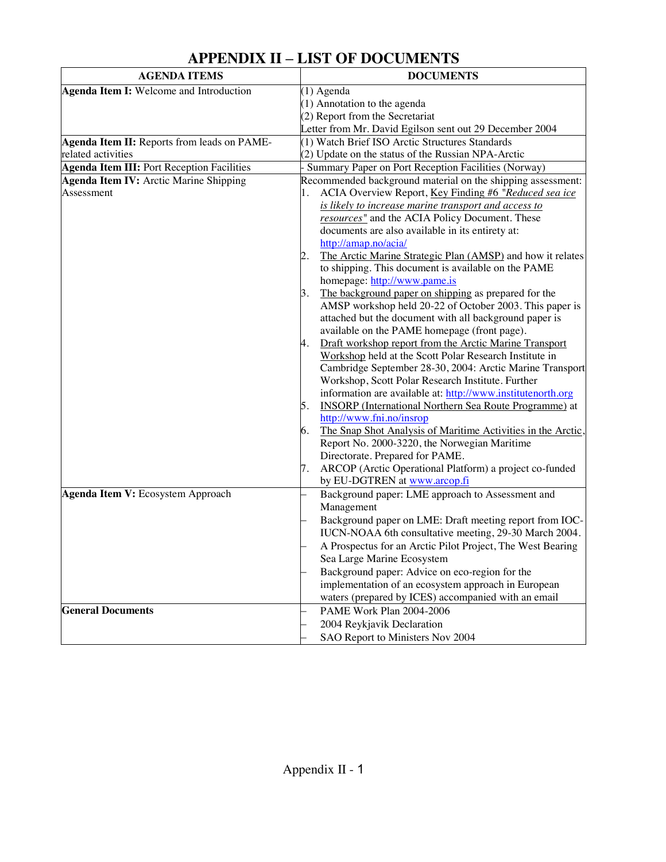| <b>APPENDIX II – LIST OF DOCUMENTS</b> |
|----------------------------------------|
|----------------------------------------|

| <b>AGENDA ITEMS</b>                                           | <b>DOCUMENTS</b>                                                                                                                                                                                                                                                                                                                                                                                                                                                                                                                                                                                                                                                                                                                                                                                                                                                                                                                                                                                              |
|---------------------------------------------------------------|---------------------------------------------------------------------------------------------------------------------------------------------------------------------------------------------------------------------------------------------------------------------------------------------------------------------------------------------------------------------------------------------------------------------------------------------------------------------------------------------------------------------------------------------------------------------------------------------------------------------------------------------------------------------------------------------------------------------------------------------------------------------------------------------------------------------------------------------------------------------------------------------------------------------------------------------------------------------------------------------------------------|
| Agenda Item I: Welcome and Introduction                       | (1) Agenda                                                                                                                                                                                                                                                                                                                                                                                                                                                                                                                                                                                                                                                                                                                                                                                                                                                                                                                                                                                                    |
|                                                               | (1) Annotation to the agenda                                                                                                                                                                                                                                                                                                                                                                                                                                                                                                                                                                                                                                                                                                                                                                                                                                                                                                                                                                                  |
|                                                               | (2) Report from the Secretariat                                                                                                                                                                                                                                                                                                                                                                                                                                                                                                                                                                                                                                                                                                                                                                                                                                                                                                                                                                               |
|                                                               | Letter from Mr. David Egilson sent out 29 December 2004                                                                                                                                                                                                                                                                                                                                                                                                                                                                                                                                                                                                                                                                                                                                                                                                                                                                                                                                                       |
| Agenda Item II: Reports from leads on PAME-                   | (1) Watch Brief ISO Arctic Structures Standards                                                                                                                                                                                                                                                                                                                                                                                                                                                                                                                                                                                                                                                                                                                                                                                                                                                                                                                                                               |
| related activities                                            | (2) Update on the status of the Russian NPA-Arctic                                                                                                                                                                                                                                                                                                                                                                                                                                                                                                                                                                                                                                                                                                                                                                                                                                                                                                                                                            |
| <b>Agenda Item III: Port Reception Facilities</b>             | Summary Paper on Port Reception Facilities (Norway)                                                                                                                                                                                                                                                                                                                                                                                                                                                                                                                                                                                                                                                                                                                                                                                                                                                                                                                                                           |
| Agenda Item IV: Arctic Marine Shipping                        | Recommended background material on the shipping assessment:                                                                                                                                                                                                                                                                                                                                                                                                                                                                                                                                                                                                                                                                                                                                                                                                                                                                                                                                                   |
| Assessment                                                    | ACIA Overview Report, Key Finding #6 "Reduced sea ice                                                                                                                                                                                                                                                                                                                                                                                                                                                                                                                                                                                                                                                                                                                                                                                                                                                                                                                                                         |
|                                                               | is likely to increase marine transport and access to                                                                                                                                                                                                                                                                                                                                                                                                                                                                                                                                                                                                                                                                                                                                                                                                                                                                                                                                                          |
|                                                               | resources" and the ACIA Policy Document. These                                                                                                                                                                                                                                                                                                                                                                                                                                                                                                                                                                                                                                                                                                                                                                                                                                                                                                                                                                |
|                                                               | documents are also available in its entirety at:                                                                                                                                                                                                                                                                                                                                                                                                                                                                                                                                                                                                                                                                                                                                                                                                                                                                                                                                                              |
|                                                               | http://amap.no/acia/                                                                                                                                                                                                                                                                                                                                                                                                                                                                                                                                                                                                                                                                                                                                                                                                                                                                                                                                                                                          |
|                                                               | The Arctic Marine Strategic Plan (AMSP) and how it relates<br>2.                                                                                                                                                                                                                                                                                                                                                                                                                                                                                                                                                                                                                                                                                                                                                                                                                                                                                                                                              |
|                                                               | to shipping. This document is available on the PAME                                                                                                                                                                                                                                                                                                                                                                                                                                                                                                                                                                                                                                                                                                                                                                                                                                                                                                                                                           |
|                                                               | homepage: http://www.pame.is                                                                                                                                                                                                                                                                                                                                                                                                                                                                                                                                                                                                                                                                                                                                                                                                                                                                                                                                                                                  |
|                                                               | The background paper on shipping as prepared for the<br>З.                                                                                                                                                                                                                                                                                                                                                                                                                                                                                                                                                                                                                                                                                                                                                                                                                                                                                                                                                    |
|                                                               | AMSP workshop held 20-22 of October 2003. This paper is                                                                                                                                                                                                                                                                                                                                                                                                                                                                                                                                                                                                                                                                                                                                                                                                                                                                                                                                                       |
|                                                               | attached but the document with all background paper is                                                                                                                                                                                                                                                                                                                                                                                                                                                                                                                                                                                                                                                                                                                                                                                                                                                                                                                                                        |
|                                                               | available on the PAME homepage (front page).                                                                                                                                                                                                                                                                                                                                                                                                                                                                                                                                                                                                                                                                                                                                                                                                                                                                                                                                                                  |
|                                                               | Draft workshop report from the Arctic Marine Transport<br>4.                                                                                                                                                                                                                                                                                                                                                                                                                                                                                                                                                                                                                                                                                                                                                                                                                                                                                                                                                  |
|                                                               |                                                                                                                                                                                                                                                                                                                                                                                                                                                                                                                                                                                                                                                                                                                                                                                                                                                                                                                                                                                                               |
|                                                               |                                                                                                                                                                                                                                                                                                                                                                                                                                                                                                                                                                                                                                                                                                                                                                                                                                                                                                                                                                                                               |
|                                                               |                                                                                                                                                                                                                                                                                                                                                                                                                                                                                                                                                                                                                                                                                                                                                                                                                                                                                                                                                                                                               |
|                                                               |                                                                                                                                                                                                                                                                                                                                                                                                                                                                                                                                                                                                                                                                                                                                                                                                                                                                                                                                                                                                               |
|                                                               | 5.                                                                                                                                                                                                                                                                                                                                                                                                                                                                                                                                                                                                                                                                                                                                                                                                                                                                                                                                                                                                            |
|                                                               |                                                                                                                                                                                                                                                                                                                                                                                                                                                                                                                                                                                                                                                                                                                                                                                                                                                                                                                                                                                                               |
|                                                               | 6.                                                                                                                                                                                                                                                                                                                                                                                                                                                                                                                                                                                                                                                                                                                                                                                                                                                                                                                                                                                                            |
|                                                               | Report No. 2000-3220, the Norwegian Maritime                                                                                                                                                                                                                                                                                                                                                                                                                                                                                                                                                                                                                                                                                                                                                                                                                                                                                                                                                                  |
|                                                               |                                                                                                                                                                                                                                                                                                                                                                                                                                                                                                                                                                                                                                                                                                                                                                                                                                                                                                                                                                                                               |
|                                                               | 7.                                                                                                                                                                                                                                                                                                                                                                                                                                                                                                                                                                                                                                                                                                                                                                                                                                                                                                                                                                                                            |
|                                                               | by EU-DGTREN at www.arcop.fi                                                                                                                                                                                                                                                                                                                                                                                                                                                                                                                                                                                                                                                                                                                                                                                                                                                                                                                                                                                  |
|                                                               |                                                                                                                                                                                                                                                                                                                                                                                                                                                                                                                                                                                                                                                                                                                                                                                                                                                                                                                                                                                                               |
|                                                               |                                                                                                                                                                                                                                                                                                                                                                                                                                                                                                                                                                                                                                                                                                                                                                                                                                                                                                                                                                                                               |
|                                                               |                                                                                                                                                                                                                                                                                                                                                                                                                                                                                                                                                                                                                                                                                                                                                                                                                                                                                                                                                                                                               |
|                                                               |                                                                                                                                                                                                                                                                                                                                                                                                                                                                                                                                                                                                                                                                                                                                                                                                                                                                                                                                                                                                               |
|                                                               |                                                                                                                                                                                                                                                                                                                                                                                                                                                                                                                                                                                                                                                                                                                                                                                                                                                                                                                                                                                                               |
|                                                               |                                                                                                                                                                                                                                                                                                                                                                                                                                                                                                                                                                                                                                                                                                                                                                                                                                                                                                                                                                                                               |
|                                                               |                                                                                                                                                                                                                                                                                                                                                                                                                                                                                                                                                                                                                                                                                                                                                                                                                                                                                                                                                                                                               |
|                                                               |                                                                                                                                                                                                                                                                                                                                                                                                                                                                                                                                                                                                                                                                                                                                                                                                                                                                                                                                                                                                               |
|                                                               |                                                                                                                                                                                                                                                                                                                                                                                                                                                                                                                                                                                                                                                                                                                                                                                                                                                                                                                                                                                                               |
|                                                               |                                                                                                                                                                                                                                                                                                                                                                                                                                                                                                                                                                                                                                                                                                                                                                                                                                                                                                                                                                                                               |
|                                                               |                                                                                                                                                                                                                                                                                                                                                                                                                                                                                                                                                                                                                                                                                                                                                                                                                                                                                                                                                                                                               |
|                                                               | SAO Report to Ministers Nov 2004                                                                                                                                                                                                                                                                                                                                                                                                                                                                                                                                                                                                                                                                                                                                                                                                                                                                                                                                                                              |
| Agenda Item V: Ecosystem Approach<br><b>General Documents</b> | Workshop held at the Scott Polar Research Institute in<br>Cambridge September 28-30, 2004: Arctic Marine Transport<br>Workshop, Scott Polar Research Institute. Further<br>information are available at: http://www.institutenorth.org<br><b>INSORP</b> (International Northern Sea Route Programme) at<br>http://www.fni.no/insrop<br>The Snap Shot Analysis of Maritime Activities in the Arctic,<br>Directorate. Prepared for PAME.<br>ARCOP (Arctic Operational Platform) a project co-funded<br>Background paper: LME approach to Assessment and<br>Management<br>Background paper on LME: Draft meeting report from IOC-<br>IUCN-NOAA 6th consultative meeting, 29-30 March 2004.<br>A Prospectus for an Arctic Pilot Project, The West Bearing<br>Sea Large Marine Ecosystem<br>Background paper: Advice on eco-region for the<br>implementation of an ecosystem approach in European<br>waters (prepared by ICES) accompanied with an email<br>PAME Work Plan 2004-2006<br>2004 Reykjavik Declaration |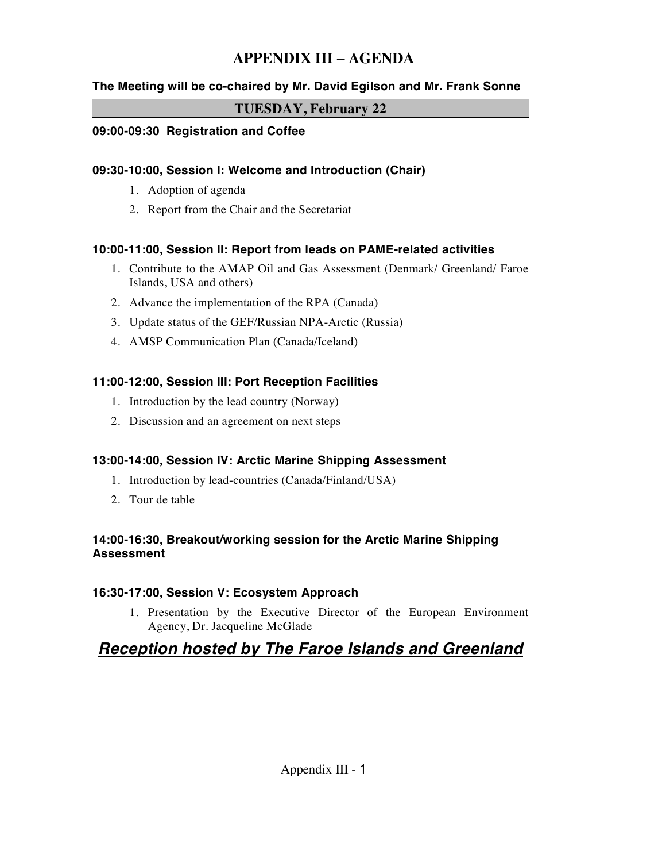# **APPENDIX III** – **AGENDA**

#### **The Meeting will be co-chaired by Mr. David Egilson and Mr. Frank Sonne**

#### **TUESDAY, February 22**

#### **09:00-09:30 Registration and Coffee**

#### **09:30-10:00, Session I: Welcome and Introduction (Chair)**

- 1. Adoption of agenda
- 2. Report from the Chair and the Secretariat

#### **10:00-11:00, Session II: Report from leads on PAME-related activities**

- 1. Contribute to the AMAP Oil and Gas Assessment (Denmark/ Greenland/ Faroe Islands, USA and others)
- 2. Advance the implementation of the RPA (Canada)
- 3. Update status of the GEF/Russian NPA-Arctic (Russia)
- 4. AMSP Communication Plan (Canada/Iceland)

#### **11:00-12:00, Session III: Port Reception Facilities**

- 1. Introduction by the lead country (Norway)
- 2. Discussion and an agreement on next steps

#### **13:00-14:00, Session IV: Arctic Marine Shipping Assessment**

- 1. Introduction by lead-countries (Canada/Finland/USA)
- 2. Tour de table

#### **14:00-16:30, Breakout/working session for the Arctic Marine Shipping Assessment**

#### **16:30-17:00, Session V: Ecosystem Approach**

1. Presentation by the Executive Director of the European Environment Agency, Dr. Jacqueline McGlade

# *Reception hosted by The Faroe Islands and Greenland*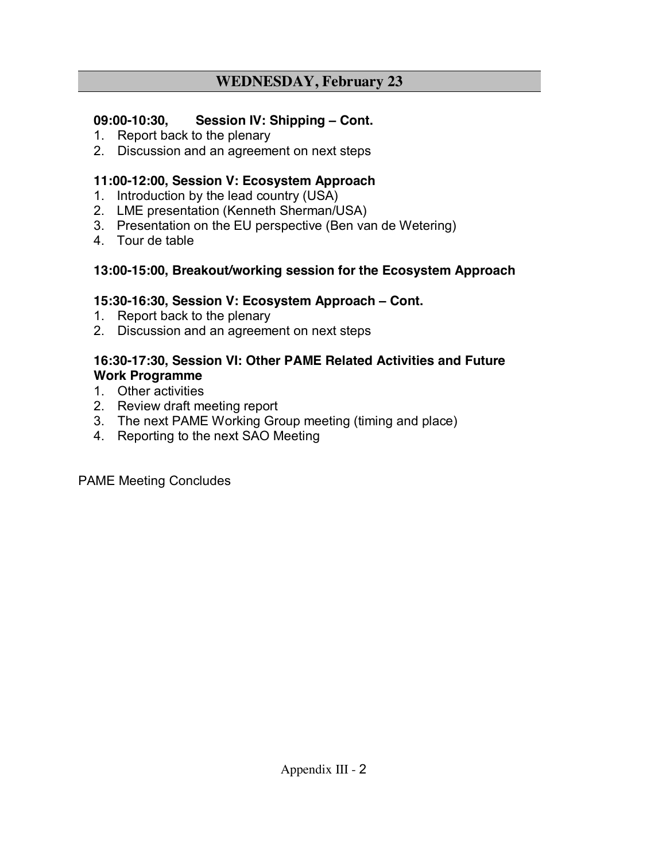# **WEDNESDAY, February 23**

### **09:00-10:30, Session IV: Shipping** – **Cont.**

- 1. Report back to the plenary
- 2. Discussion and an agreement on next steps

### **11:00-12:00, Session V: Ecosystem Approach**

- 1. Introduction by the lead country (USA)
- 2. LME presentation (Kenneth Sherman/USA)
- 3. Presentation on the EU perspective (Ben van de Wetering)
- 4. Tour de table

### **13:00-15:00, Breakout/working session for the Ecosystem Approach**

### **15:30-16:30, Session V: Ecosystem Approach** – **Cont.**

- 1. Report back to the plenary
- 2. Discussion and an agreement on next steps

### **16:30-17:30, Session VI: Other PAME Related Activities and Future Work Programme**

- 1. Other activities
- 2. Review draft meeting report
- 3. The next PAME Working Group meeting (timing and place)
- 4. Reporting to the next SAO Meeting

PAME Meeting Concludes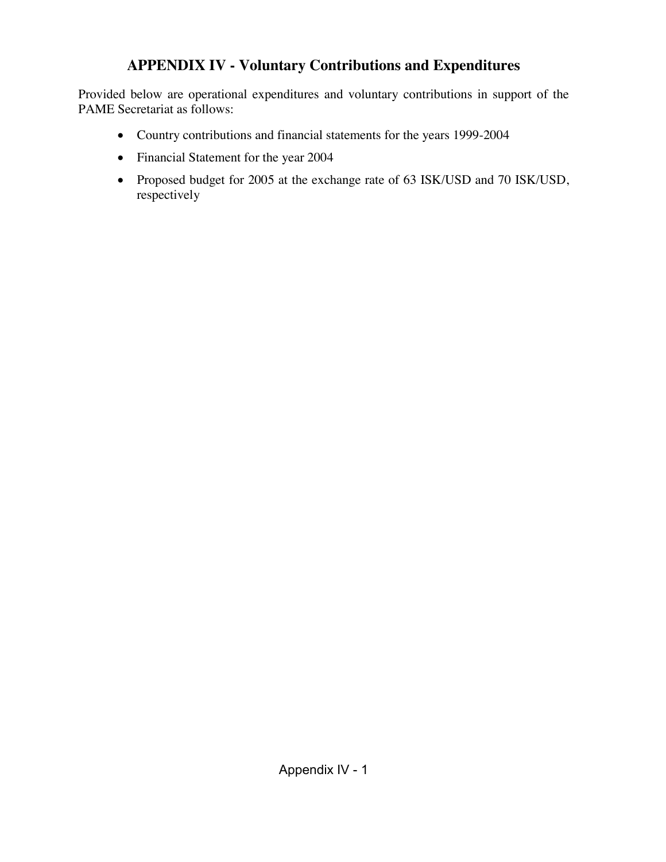# **APPENDIX IV - Voluntary Contributions and Expenditures**

Provided below are operational expenditures and voluntary contributions in support of the PAME Secretariat as follows:

- Country contributions and financial statements for the years 1999-2004
- Financial Statement for the year 2004
- Proposed budget for 2005 at the exchange rate of 63 ISK/USD and 70 ISK/USD, respectively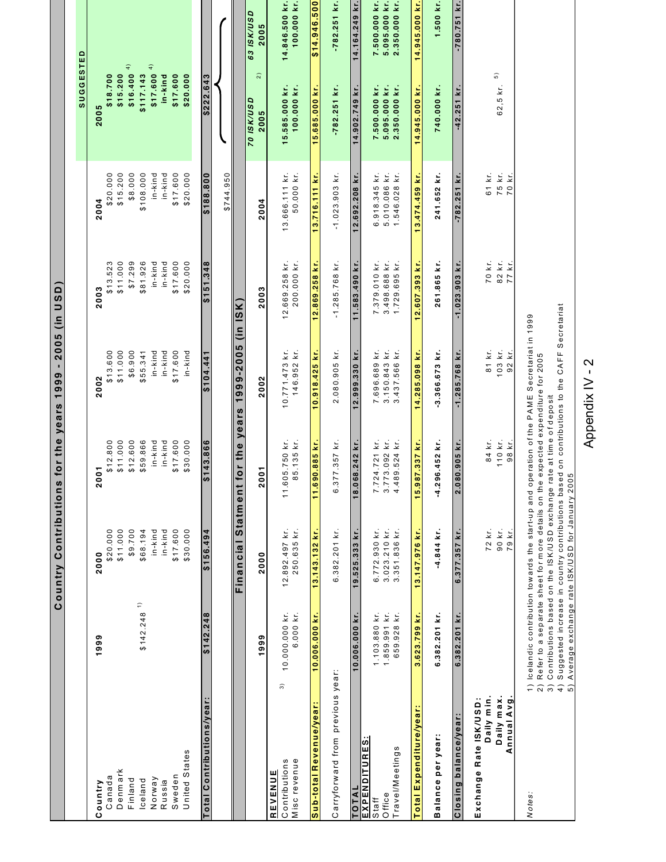|                                                     |                                | Country Contributions                                                                                                                                                         |                                      | for the years 1999 - 2005 (in USD)                                                                                                                                                                                             |                                |                                |                                                                         |
|-----------------------------------------------------|--------------------------------|-------------------------------------------------------------------------------------------------------------------------------------------------------------------------------|--------------------------------------|--------------------------------------------------------------------------------------------------------------------------------------------------------------------------------------------------------------------------------|--------------------------------|--------------------------------|-------------------------------------------------------------------------|
|                                                     |                                |                                                                                                                                                                               |                                      |                                                                                                                                                                                                                                |                                |                                | SUGGESTED                                                               |
| ountry<br>ပ                                         | 1999                           | 2000                                                                                                                                                                          | $\overline{0}$<br>$\bar{\mathbf{v}}$ | 2002                                                                                                                                                                                                                           | 2003                           | 2004                           | 2005                                                                    |
| Canada                                              |                                | \$20.000                                                                                                                                                                      | \$12.800                             | \$13.600                                                                                                                                                                                                                       | \$13.523                       | \$20.000                       | \$18.700                                                                |
| Denmark                                             |                                | \$11.000                                                                                                                                                                      | \$11.000                             | \$11.000                                                                                                                                                                                                                       | \$11.000                       | \$15.200                       | \$15.200                                                                |
| Finland                                             |                                | \$9.700                                                                                                                                                                       | \$12.600                             | \$6.900                                                                                                                                                                                                                        | \$7.299                        | \$8.000                        | \$16.400 <sup>4</sup>                                                   |
| Iceland                                             | $\widehat{\cdot}$<br>\$142.248 | \$68.194                                                                                                                                                                      | \$59.866                             | \$55.341                                                                                                                                                                                                                       | \$81.926                       | \$108.000                      | \$117.143                                                               |
| Norway                                              |                                | in-kind                                                                                                                                                                       | in-kind                              | in-kind                                                                                                                                                                                                                        | in-kind                        | in-kind                        | $$17.600^{4}$                                                           |
| Russia                                              |                                | $in -$ kind                                                                                                                                                                   | in-kind                              | in-kind                                                                                                                                                                                                                        | in-kind                        | in-kind                        | in-kind                                                                 |
| Sweden                                              |                                | \$17.600                                                                                                                                                                      | \$17.600                             | \$17.600                                                                                                                                                                                                                       | \$17.600                       | \$17.600                       | \$17.600                                                                |
| United States                                       |                                | \$30.000                                                                                                                                                                      | \$30.000                             | in-kind                                                                                                                                                                                                                        | \$20.000                       | \$20.000                       | \$20.000                                                                |
| Total Contributions/year                            | \$142.248                      | \$156.494                                                                                                                                                                     | \$143.866                            | \$104.441                                                                                                                                                                                                                      | \$151.348                      | \$188.800                      | \$222.643                                                               |
|                                                     |                                |                                                                                                                                                                               |                                      |                                                                                                                                                                                                                                |                                | \$744.950                      |                                                                         |
|                                                     |                                | <b>Statment</b><br>Financial                                                                                                                                                  |                                      | for the years 1999-2005 (in ISK)                                                                                                                                                                                               |                                |                                |                                                                         |
|                                                     | 1999                           | 2000                                                                                                                                                                          | 5o<br>$\overline{\mathbf{a}}$        | 2002                                                                                                                                                                                                                           | 2003                           | 2004                           | <b>63 ISK/USD</b><br>2005<br>$\widehat{z}$<br><b>GSN/NSI 02</b><br>2005 |
| $\widehat{\mathcal{E}}$<br>Contributions<br>REVENUE | 10.000.000 kr.<br>6.000 kr.    | 12.892.497 kr.                                                                                                                                                                | 11.605.750 kr.                       | 10.771.473 kr.                                                                                                                                                                                                                 | 12.669.258 kr.                 | 13.666.111 kr.                 | 14.846.500 kr.<br>100.000 kr.<br>15.585.000 kr.<br>100.000 kr.          |
| Sub-total Revenue/year:<br>Misc revenue             | 10.006.000 kr                  | 250.635 kr.<br>13.143.132 kr                                                                                                                                                  | 85.135 kr.<br>90.885 kr.<br>11.6     | 146.952 kr.<br>10.918.425 kr.                                                                                                                                                                                                  | 200.000 kr.<br>12.869.258 kr.  | 50.000 kr.<br>13.716.111 kr.   | 005'976'14'\$<br>15.685.000 kr.                                         |
|                                                     |                                |                                                                                                                                                                               |                                      |                                                                                                                                                                                                                                |                                |                                |                                                                         |
| Carryforward from previous year:                    |                                | 6.382.201 kr.                                                                                                                                                                 | 6.377.357 kr.                        | 2.080.905 kr.                                                                                                                                                                                                                  | $-1.285.768$ kr.               | $-1.023.903$ kr.               | $-782.251$ kr.<br>$-782.251$ kr.                                        |
| TOTAL                                               | 10.006.000 kr.                 | 19.525.333 kr.                                                                                                                                                                | 68.242 kr.<br>18.0                   | 12.999.330 kr.                                                                                                                                                                                                                 | 11.583.490 kr.                 | 12.692.208 kr                  | 14.164.249 kr.<br>14.902.749 kr.                                        |
| <b>EXPENDITURES</b>                                 |                                |                                                                                                                                                                               |                                      |                                                                                                                                                                                                                                |                                |                                |                                                                         |
| Office<br>Staff                                     | 1.859.991 kr.<br>1.103.880 kr. | 3.023.210 kr.<br>6.772.930 kr.                                                                                                                                                | 3.773.092 kr.<br>7.724.721 kr.       | 3.150.843 kr.<br>7.696.689 kr.                                                                                                                                                                                                 | 3.498.688 kr.<br>7.379.010 kr. | 5.010.086 kr.<br>6.918.345 kr. | 5.095.000 kr.<br>7.500.000 kr.<br>5.095.000 kr.<br>7.500.000 kr.        |
| ravel/Meetings                                      | 659.928 kr.                    | 3.351.836 kr.                                                                                                                                                                 | kr.<br>4.489.524                     | 3.437.566 kr.                                                                                                                                                                                                                  | 1.729.695 kr.                  | 1.546.028 kr.                  | 2.350.000 kr.<br>2.350.000 kr.                                          |
| Total Expenditure/year:                             | 3.623.799 kr.                  | 13.147.976 kr.                                                                                                                                                                | 87.337 kr.<br>15.9                   | 14.285.098 kr.                                                                                                                                                                                                                 | 12.607.393 kr.                 | 13.474.459 kr.                 | 14.945.000 kr.<br>14.945.000 kr.                                        |
|                                                     |                                |                                                                                                                                                                               |                                      |                                                                                                                                                                                                                                |                                |                                |                                                                         |
| Balance per year:                                   | 6.382.201 kr.                  | -4.844 kr.                                                                                                                                                                    | 96.452 kr.<br>$-4.2$                 | $3.366.673$ kr.                                                                                                                                                                                                                | 261.865 kr.                    | 241.652 kr.                    | 1.500 kr.<br>740.000 kr.                                                |
| Closing balance/year                                | 6.382.201 kr.                  | 6.377.357 kr.                                                                                                                                                                 | 80.905 kr.<br>2.01                   | $-1.285.768$ kr.                                                                                                                                                                                                               | $-1.023.903$ kr.               | $-782.251$ kr                  | $-780.751$ kr.<br>$-42.251$ kr.                                         |
| Daily min.<br>Exchange Rate ISK/USD:                |                                | 72 kr.                                                                                                                                                                        | 84 kr.                               | 81 kr.                                                                                                                                                                                                                         | 70 kr.                         | 61 kr.                         |                                                                         |
| Daily max.<br>Annual Avg                            |                                | 90 kr.<br>79 kr.                                                                                                                                                              | 110 kr.<br>98 kr.                    | 103 kr.<br>92 kr                                                                                                                                                                                                               | 82 kr.<br>77 kr.               | 75 kr.<br>70 kr.               | $\widehat{5}$<br>62,5 kr.                                               |
| $\widehat{3}$<br>$\widehat{2}$<br>Notes:            |                                | Contributions based on the ISK/USD exchange rate at time of deposit<br>5) Average exchange rate ISK/USD for January 2005<br>Refer to a separate sheet for more details on the |                                      | 4) Suggested increase in country contributions based on contributions to the CAFF Secretariat<br>1) Icelandic contribution towards the start-up and operation of the PAME Secretariat in 1999<br>expected expenditure for 2005 |                                |                                |                                                                         |

Appendix IV - 2 Appendix IV - 2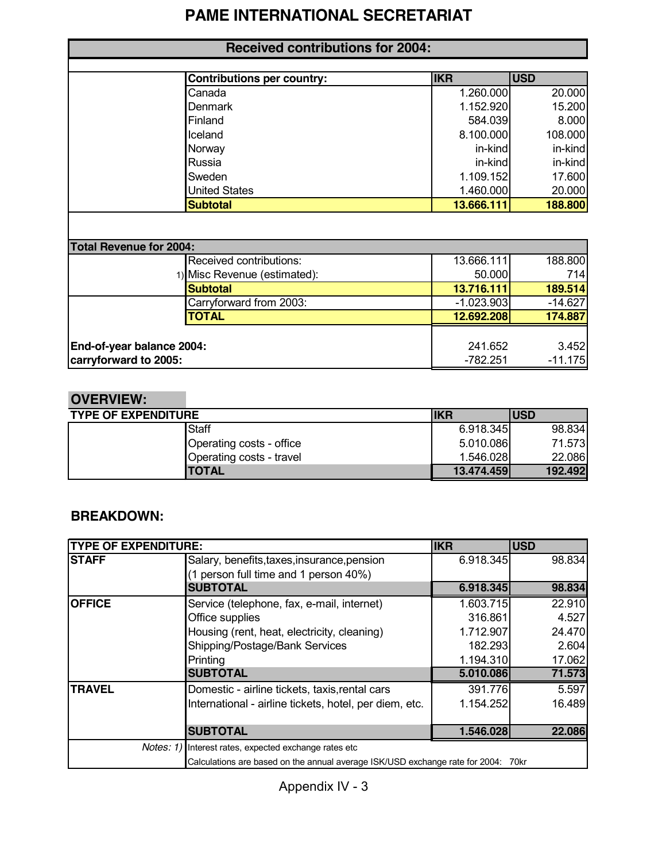# **PAME INTERNATIONAL SECRETARIAT**

| <b>Contributions per country:</b> | <b>IKR</b> | <b>USD</b> |
|-----------------------------------|------------|------------|
| Canada                            | 1.260.000  | 20.000     |
| <b>Denmark</b>                    | 1.152.920  | 15.200     |
| Finland                           | 584.039    | 8.000      |
| Iceland                           | 8.100.000  | 108.000    |
| Norway                            | in-kind    | in-kind    |
| Russia                            | in-kind    | in-kind    |
| Sweden                            | 1.109.152  | 17.600     |
| <b>United States</b>              | 1.460.000  | 20.000     |
| <b>Subtotal</b>                   | 13.666.111 | 188.800    |

| <b>Total Revenue for 2004:</b> |                              |              |           |
|--------------------------------|------------------------------|--------------|-----------|
|                                | Received contributions:      | 13.666.111   | 188.800   |
|                                | 1) Misc Revenue (estimated): | 50.000       | 714       |
|                                | <b>Subtotal</b>              | 13.716.111   | 189.514   |
|                                | Carryforward from 2003:      | $-1.023.903$ | $-14.627$ |
|                                | <b>TOTAL</b>                 | 12.692.208   | 174.887   |
|                                |                              |              |           |
| End-of-year balance 2004:      |                              | 241.652      | 3.452     |
| carryforward to 2005:          |                              | -782.251     | $-11.175$ |

# **OVERVIEW:**

| <b>TYPE OF EXPENDITURE</b> |                          | <b>IKR</b> | <b>USD</b> |
|----------------------------|--------------------------|------------|------------|
|                            | Staff                    | 6.918.345  | 98.834     |
|                            | Operating costs - office | 5.010.086  | 71.573     |
|                            | Operating costs - travel | 1.546.028  | 22.086     |
|                            | ITOTAL                   | 13.474.459 | 192.492    |

### **BREAKDOWN:**

| <b>TYPE OF EXPENDITURE:</b> |                                                                                   | <b>IKR</b> | <b>USD</b> |
|-----------------------------|-----------------------------------------------------------------------------------|------------|------------|
| <b>ISTAFF</b>               | Salary, benefits, taxes, insurance, pension                                       | 6.918.345  | 98.834     |
|                             | (1 person full time and 1 person 40%)                                             |            |            |
|                             | <b>SUBTOTAL</b>                                                                   | 6.918.345  | 98.834     |
| <b>OFFICE</b>               | Service (telephone, fax, e-mail, internet)                                        | 1.603.715  | 22.910     |
|                             | Office supplies                                                                   | 316.861    | 4.527      |
|                             | Housing (rent, heat, electricity, cleaning)                                       | 1.712.907  | 24.470     |
|                             | Shipping/Postage/Bank Services                                                    | 182.293    | 2.604      |
|                             | Printing                                                                          | 1.194.310  | 17.062     |
|                             | <b>SUBTOTAL</b>                                                                   | 5.010.086  | 71.573     |
| <b>TRAVEL</b>               | Domestic - airline tickets, taxis, rental cars                                    | 391.776    | 5.597      |
|                             | International - airline tickets, hotel, per diem, etc.                            | 1.154.252  | 16.489     |
|                             |                                                                                   |            |            |
|                             | <b>SUBTOTAL</b>                                                                   | 1.546.028  | 22.086     |
|                             | <i>Notes: 1)</i> Interest rates, expected exchange rates etc                      |            |            |
|                             | Calculations are based on the annual average ISK/USD exchange rate for 2004: 70kr |            |            |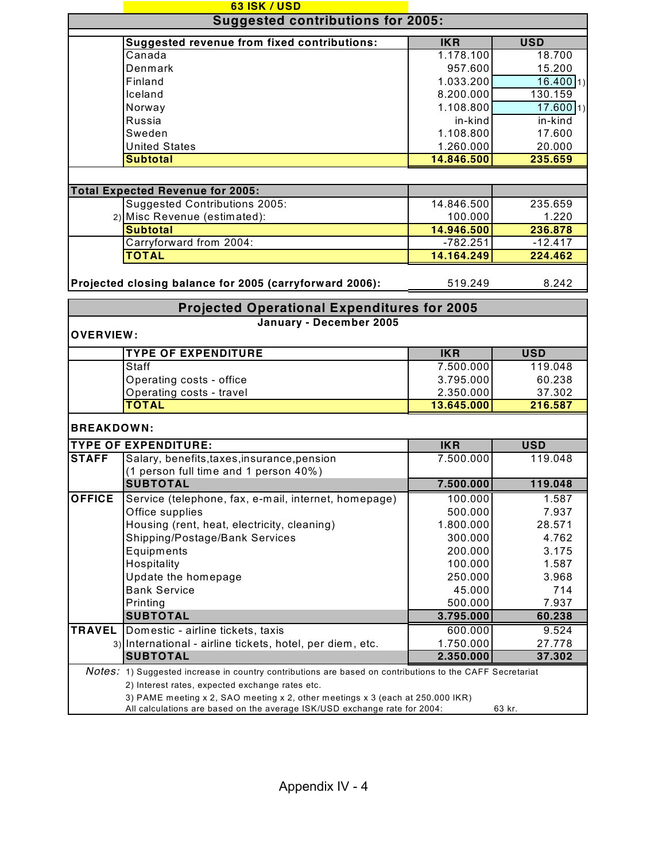|                   | 63 ISK / USD                                                                                                                                                |            |             |  |  |  |
|-------------------|-------------------------------------------------------------------------------------------------------------------------------------------------------------|------------|-------------|--|--|--|
|                   | <b>Suggested contributions for 2005:</b>                                                                                                                    |            |             |  |  |  |
|                   | <b>Suggested revenue from fixed contributions:</b><br><b>IKR</b><br><b>USD</b>                                                                              |            |             |  |  |  |
|                   | Canada                                                                                                                                                      | 1.178.100  | 18.700      |  |  |  |
|                   | Denmark                                                                                                                                                     | 957.600    | 15.200      |  |  |  |
|                   | Finland                                                                                                                                                     | 1.033.200  | $16.400$ 1) |  |  |  |
|                   | Iceland                                                                                                                                                     | 8.200.000  | 130.159     |  |  |  |
|                   | Norway                                                                                                                                                      | 1.108.800  | 17.600 1)   |  |  |  |
|                   | Russia                                                                                                                                                      | in-kind    | in-kind     |  |  |  |
|                   | Sweden                                                                                                                                                      | 1.108.800  | 17.600      |  |  |  |
|                   | <b>United States</b>                                                                                                                                        | 1.260.000  | 20.000      |  |  |  |
|                   | <b>Subtotal</b>                                                                                                                                             | 14.846.500 | 235.659     |  |  |  |
|                   |                                                                                                                                                             |            |             |  |  |  |
|                   | <b>Total Expected Revenue for 2005:</b>                                                                                                                     |            |             |  |  |  |
|                   | <b>Suggested Contributions 2005:</b>                                                                                                                        | 14.846.500 | 235.659     |  |  |  |
|                   | 2) Misc Revenue (estimated):                                                                                                                                | 100.000    | 1.220       |  |  |  |
|                   | <b>Subtotal</b>                                                                                                                                             | 14.946.500 | 236.878     |  |  |  |
|                   | Carryforward from 2004:                                                                                                                                     | $-782.251$ | $-12.417$   |  |  |  |
|                   | <b>TOTAL</b>                                                                                                                                                | 14.164.249 | 224.462     |  |  |  |
|                   | Projected closing balance for 2005 (carryforward 2006):                                                                                                     | 519.249    | 8.242       |  |  |  |
|                   | <b>Projected Operational Expenditures for 2005</b>                                                                                                          |            |             |  |  |  |
| <b>OVERVIEW:</b>  | January - December 2005                                                                                                                                     |            |             |  |  |  |
|                   | <b>TYPE OF EXPENDITURE</b>                                                                                                                                  | <b>IKR</b> | <b>USD</b>  |  |  |  |
|                   | Staff                                                                                                                                                       | 7.500.000  | 119.048     |  |  |  |
|                   | Operating costs - office                                                                                                                                    | 3.795.000  | 60.238      |  |  |  |
|                   | Operating costs - travel                                                                                                                                    | 2.350.000  | 37.302      |  |  |  |
|                   | <b>TOTAL</b>                                                                                                                                                | 13.645.000 | 216.587     |  |  |  |
| <b>BREAKDOWN:</b> |                                                                                                                                                             |            |             |  |  |  |
|                   | <b>TYPE OF EXPENDITURE:</b>                                                                                                                                 | <b>IKR</b> | <b>USD</b>  |  |  |  |
| <b>STAFF</b>      | Salary, benefits, taxes, insurance, pension                                                                                                                 | 7.500.000  | 119.048     |  |  |  |
|                   | (1 person full time and 1 person 40%)                                                                                                                       |            |             |  |  |  |
|                   | <b>SUBTOTAL</b>                                                                                                                                             | 7.500.000  | 119.048     |  |  |  |
| <b>OFFICE</b>     | Service (telephone, fax, e-mail, internet, homepage)                                                                                                        | 100.000    | 1.587       |  |  |  |
|                   | Office supplies                                                                                                                                             | 500.000    | 7.937       |  |  |  |
|                   | Housing (rent, heat, electricity, cleaning)                                                                                                                 | 1.800.000  | 28.571      |  |  |  |
|                   | Shipping/Postage/Bank Services                                                                                                                              | 300.000    | 4.762       |  |  |  |
|                   | Equipments                                                                                                                                                  | 200.000    | 3.175       |  |  |  |
|                   | Hospitality                                                                                                                                                 | 100.000    | 1.587       |  |  |  |
|                   | Update the homepage                                                                                                                                         | 250.000    | 3.968       |  |  |  |
|                   | <b>Bank Service</b>                                                                                                                                         | 45.000     | 714         |  |  |  |
|                   | Printing                                                                                                                                                    | 500.000    | 7.937       |  |  |  |
|                   | <b>SUBTOTAL</b>                                                                                                                                             | 3.795.000  | 60.238      |  |  |  |
| <b>TRAVEL</b>     | Domestic - airline tickets, taxis                                                                                                                           | 600.000    | 9.524       |  |  |  |
|                   | 3) International - airline tickets, hotel, per diem, etc.                                                                                                   | 1.750.000  | 27.778      |  |  |  |
|                   | <b>SUBTOTAL</b>                                                                                                                                             | 2.350.000  | 37.302      |  |  |  |
|                   | Notes: 1) Suggested increase in country contributions are based on contributions to the CAFF Secretariat                                                    |            |             |  |  |  |
|                   | 2) Interest rates, expected exchange rates etc.                                                                                                             |            |             |  |  |  |
|                   | 3) PAME meeting x 2, SAO meeting x 2, other meetings x 3 (each at 250.000 IKR)<br>All calculations are based on the average ISK/USD exchange rate for 2004: |            | 63 kr.      |  |  |  |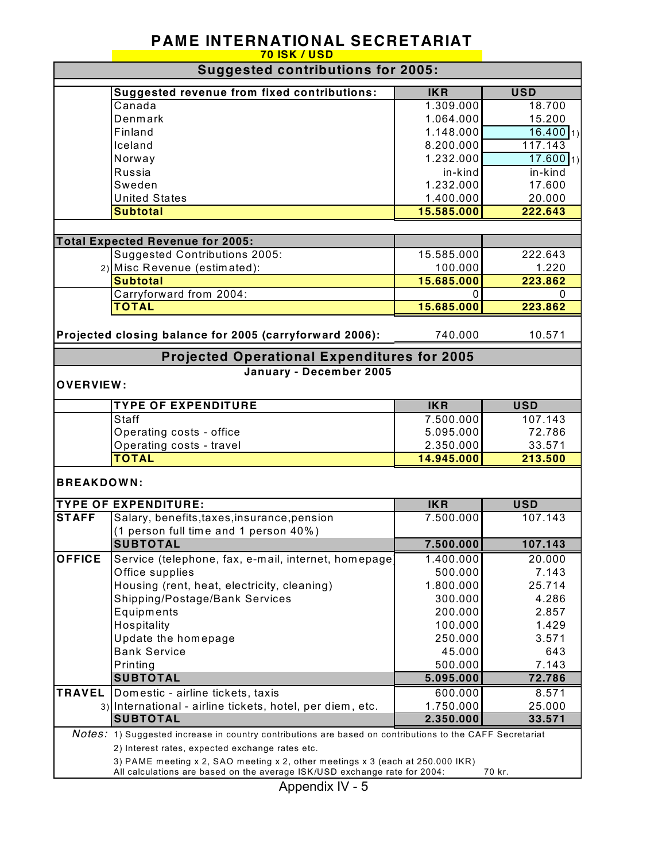### **PAME INTERNATIONAL SECRETARIAT 70 ISK / USD**

| <b>Suggested contributions for 2005:</b> |                                                                                                          |                         |                        |
|------------------------------------------|----------------------------------------------------------------------------------------------------------|-------------------------|------------------------|
|                                          | Suggested revenue from fixed contributions:                                                              | <b>IKR</b>              | <b>USD</b>             |
|                                          | Canada                                                                                                   | 1.309.000               | 18.700                 |
|                                          | Denmark                                                                                                  | 1.064.000               | 15.200                 |
|                                          | Finland                                                                                                  | 1.148.000               | 16.400 1)              |
|                                          | Iceland                                                                                                  | 8.200.000               | 117.143                |
|                                          | Norway                                                                                                   | 1.232.000               | $17.600$ <sub>1)</sub> |
|                                          | Russia                                                                                                   | in-kind                 | in-kind                |
|                                          | Sweden                                                                                                   | 1.232.000               | 17.600                 |
|                                          | <b>United States</b>                                                                                     | 1.400.000               | 20.000                 |
|                                          | <b>Subtotal</b>                                                                                          | 15.585.000              | 222.643                |
|                                          |                                                                                                          |                         |                        |
|                                          | <b>Total Expected Revenue for 2005:</b>                                                                  |                         |                        |
|                                          | <b>Suggested Contributions 2005:</b>                                                                     | 15.585.000              | 222.643                |
|                                          | 2) Misc Revenue (estimated):                                                                             | 100.000                 | 1.220                  |
|                                          | <b>Subtotal</b>                                                                                          | 15.685.000              | 223.862                |
|                                          | Carryforward from 2004:                                                                                  | 0                       | 0                      |
|                                          | <b>TOTAL</b>                                                                                             | 15.685.000              | 223.862                |
|                                          | Projected closing balance for 2005 (carryforward 2006):                                                  | 740.000                 | 10.571                 |
|                                          |                                                                                                          |                         |                        |
|                                          | <b>Projected Operational Expenditures for 2005</b><br>January - December 2005                            |                         |                        |
| <b>OVERVIEW:</b>                         |                                                                                                          |                         |                        |
|                                          |                                                                                                          |                         |                        |
|                                          | <b>TYPE OF EXPENDITURE</b><br>Staff                                                                      | <b>IKR</b><br>7.500.000 | <b>USD</b><br>107.143  |
|                                          |                                                                                                          | 5.095.000               | 72.786                 |
|                                          | Operating costs - office                                                                                 |                         | 33.571                 |
|                                          | Operating costs - travel<br><b>TOTAL</b>                                                                 | 2.350.000<br>14.945.000 | 213.500                |
|                                          |                                                                                                          |                         |                        |
| <b>BREAKDOWN:</b>                        |                                                                                                          |                         |                        |
|                                          | <b>TYPE OF EXPENDITURE:</b>                                                                              | <b>IKR</b>              | <b>USD</b>             |
| <b>STAFF</b>                             | Salary, benefits, taxes, insurance, pension                                                              | 7.500.000               | 107.143                |
|                                          | (1 person full time and 1 person 40%)                                                                    |                         |                        |
|                                          | <b>SUBTOTAL</b>                                                                                          | 7.500.000               | 107.143                |
| <b>OFFICE</b>                            | Service (telephone, fax, e-mail, internet, homepage                                                      | 1.400.000               | 20.000                 |
|                                          | Office supplies                                                                                          | 500.000                 | 7.143                  |
|                                          | Housing (rent, heat, electricity, cleaning)                                                              | 1.800.000               | 25.714                 |
|                                          | Shipping/Postage/Bank Services                                                                           | 300.000                 | 4.286                  |
|                                          | Equipments                                                                                               | 200.000                 | 2.857                  |
|                                          | Hospitality                                                                                              | 100.000                 | 1.429                  |
|                                          | Update the homepage                                                                                      | 250.000                 | 3.571                  |
|                                          | <b>Bank Service</b>                                                                                      | 45.000                  | 643                    |
|                                          | Printing                                                                                                 | 500.000                 | 7.143                  |
|                                          | <b>SUBTOTAL</b>                                                                                          | 5.095.000               | 72.786                 |
| <b>TRAVEL</b>                            | Domestic - airline tickets, taxis                                                                        | 600.000                 | 8.571                  |
|                                          | 3) International - airline tickets, hotel, per diem, etc.                                                | 1.750.000               | 25.000                 |
|                                          | <b>SUBTOTAL</b>                                                                                          | 2.350.000               | 33.571                 |
|                                          | Notes: 1) Suggested increase in country contributions are based on contributions to the CAFF Secretariat |                         |                        |
|                                          | 2) Interest rates, expected exchange rates etc.                                                          |                         |                        |
|                                          | 3) PAME meeting x 2, SAO meeting x 2, other meetings x 3 (each at 250.000 IKR)                           |                         |                        |
|                                          | All calculations are based on the average ISK/USD exchange rate for 2004:                                |                         | 70 kr.                 |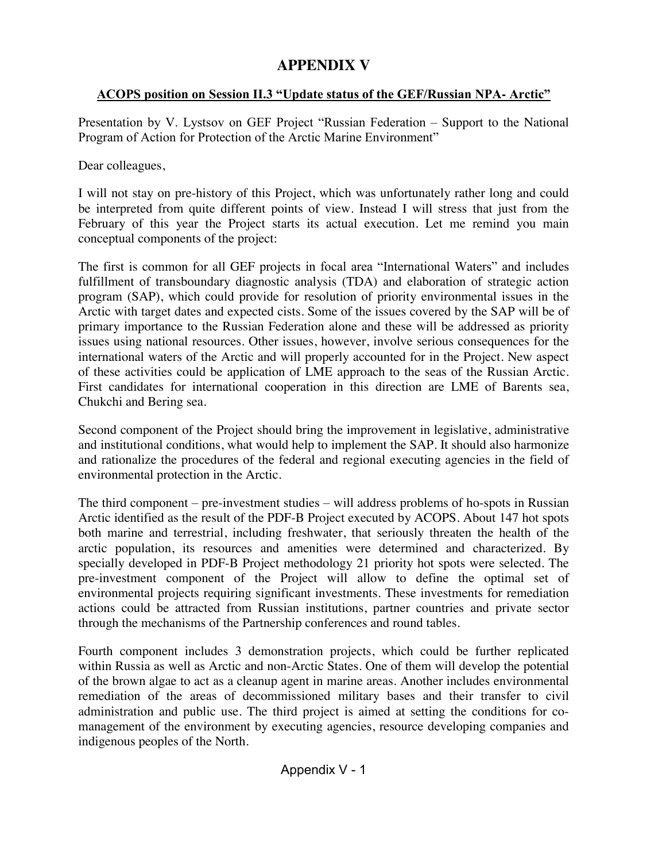# **APPENDIX V**

### ACOPS position on Session II.3 "Update status of the GEF/Russian NPA**-** Arctic"

Presentation by V. Lystsov on GEF Project "Russian Federation – Support to the National Program of Action for Protection of the Arctic Marine Environment"

Dear colleagues,

I will not stay on pre-history of this Project, which was unfortunately rather long and could be interpreted from quite different points of view. Instead I will stress that just from the February of this year the Project starts its actual execution. Let me remind you main conceptual components of the project:

The first is common for all GEF projects in focal area "International Waters" and includes fulfillment of transboundary diagnostic analysis (TDA) and elaboration of strategic action program (SAP), which could provide for resolution of priority environmental issues in the Arctic with target dates and expected cists. Some of the issues covered by the SAP will be of primary importance to the Russian Federation alone and these will be addressed as priority issues using national resources. Other issues, however, involve serious consequences for the international waters of the Arctic and will properly accounted for in the Project. New aspect of these activities could be application of LME approach to the seas of the Russian Arctic. First candidates for international cooperation in this direction are LME of Barents sea, Chukchi and Bering sea.

Second component of the Project should bring the improvement in legislative, administrative and institutional conditions, what would help to implement the SAP. It should also harmonize and rationalize the procedures of the federal and regional executing agencies in the field of environmental protection in the Arctic.

The third component – pre-investment studies – will address problems of ho-spots in Russian Arctic identified as the result of the PDF-B Project executed by ACOPS. About 147 hot spots both marine and terrestrial, including freshwater, that seriously threaten the health of the arctic population, its resources and amenities were determined and characterized. By specially developed in PDF-B Project methodology 21 priority hot spots were selected. The pre-investment component of the Project will allow to define the optimal set of environmental projects requiring significant investments. These investments for remediation actions could be attracted from Russian institutions, partner countries and private sector through the mechanisms of the Partnership conferences and round tables.

Fourth component includes 3 demonstration projects, which could be further replicated within Russia as well as Arctic and non-Arctic States. One of them will develop the potential of the brown algae to act as a cleanup agent in marine areas. Another includes environmental remediation of the areas of decommissioned military bases and their transfer to civil administration and public use. The third project is aimed at setting the conditions for comanagement of the environment by executing agencies, resource developing companies and indigenous peoples of the North.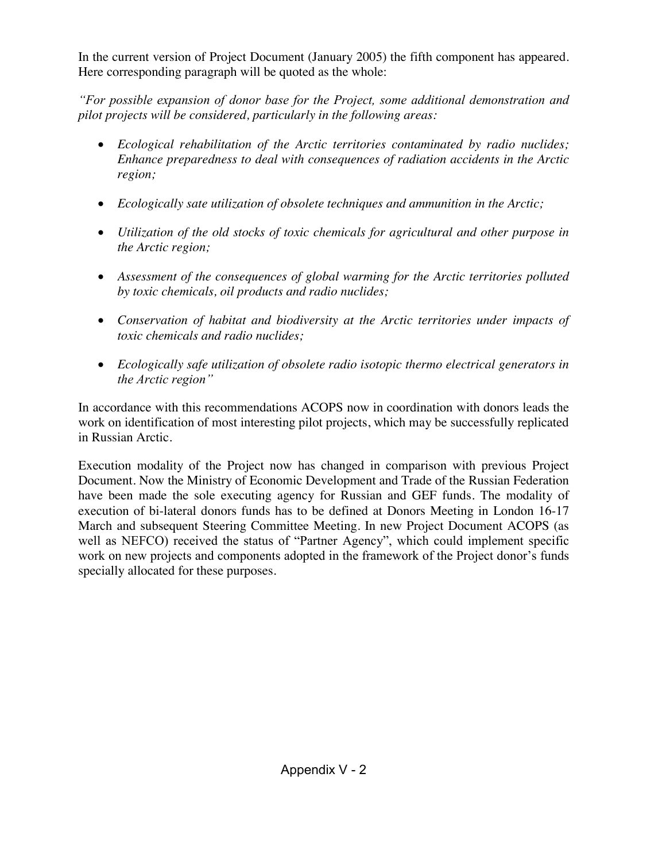In the current version of Project Document (January 2005) the fifth component has appeared. Here corresponding paragraph will be quoted as the whole:

"For possible expansion of donor base for the Project, some additional demonstration and *pilot projects will be considered, particularly in the following areas:*

- x *Ecological rehabilitation of the Arctic territories contaminated by radio nuclides; Enhance preparedness to deal with consequences of radiation accidents in the Arctic region;*
- **•** *Ecologically sate utilization of obsolete techniques and ammunition in the Arctic;*
- x *Utilization of the old stocks of toxic chemicals for agricultural and other purpose in the Arctic region;*
- x *Assessment of the consequences of global warming for the Arctic territories polluted by toxic chemicals, oil products and radio nuclides;*
- x *Conservation of habitat and biodiversity at the Arctic territories under impacts of toxic chemicals and radio nuclides;*
- x *Ecologically safe utilization of obsolete radio isotopic thermo electrical generators in* the Arctic region"

In accordance with this recommendations ACOPS now in coordination with donors leads the work on identification of most interesting pilot projects, which may be successfully replicated in Russian Arctic.

Execution modality of the Project now has changed in comparison with previous Project Document. Now the Ministry of Economic Development and Trade of the Russian Federation have been made the sole executing agency for Russian and GEF funds. The modality of execution of bi-lateral donors funds has to be defined at Donors Meeting in London 16-17 March and subsequent Steering Committee Meeting. In new Project Document ACOPS (as well as NEFCO) received the status of "Partner Agency", which could implement specific work on new projects and components adopted in the framework of the Project donor's funds specially allocated for these purposes.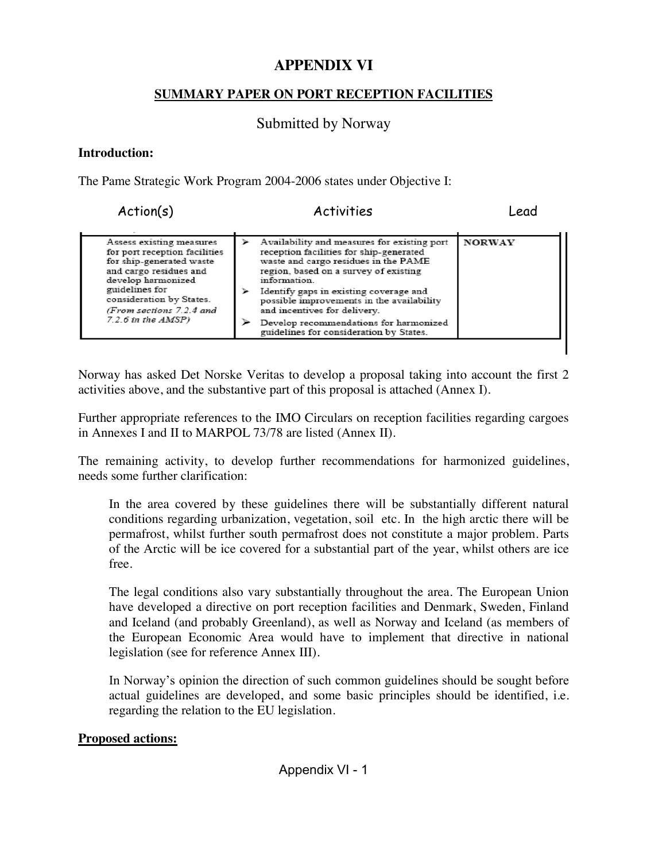# **APPENDIX VI**

### **SUMMARY PAPER ON PORT RECEPTION FACILITIES**

# Submitted by Norway

### **Introduction:**

The Pame Strategic Work Program 2004-2006 states under Objective I:

Action(s) Activities Lead

| Assess existing measures<br>for port reception facilities<br>for ship-generated waste<br>and cargo residues and<br>develop harmonized<br>guidelines for<br>consideration by States.<br>(From sections 7.2.4 and<br>$7.2.6$ in the $AMSP$ ) |  | Availability and measures for existing port<br>reception facilities for ship-generated<br>waste and cargo residues in the PAME<br>region, based on a survey of existing<br>information.<br>Identify gaps in existing coverage and<br>possible improvements in the availability<br>and incentives for delivery.<br>Develop recommendations for harmonized<br>guidelines for consideration by States. | <b>NORWAY</b> |
|--------------------------------------------------------------------------------------------------------------------------------------------------------------------------------------------------------------------------------------------|--|-----------------------------------------------------------------------------------------------------------------------------------------------------------------------------------------------------------------------------------------------------------------------------------------------------------------------------------------------------------------------------------------------------|---------------|
|--------------------------------------------------------------------------------------------------------------------------------------------------------------------------------------------------------------------------------------------|--|-----------------------------------------------------------------------------------------------------------------------------------------------------------------------------------------------------------------------------------------------------------------------------------------------------------------------------------------------------------------------------------------------------|---------------|

Norway has asked Det Norske Veritas to develop a proposal taking into account the first 2 activities above, and the substantive part of this proposal is attached (Annex I).

Further appropriate references to the IMO Circulars on reception facilities regarding cargoes in Annexes I and II to MARPOL 73/78 are listed (Annex II).

The remaining activity, to develop further recommendations for harmonized guidelines, needs some further clarification:

In the area covered by these guidelines there will be substantially different natural conditions regarding urbanization, vegetation, soil etc. In the high arctic there will be permafrost, whilst further south permafrost does not constitute a major problem. Parts of the Arctic will be ice covered for a substantial part of the year, whilst others are ice free.

The legal conditions also vary substantially throughout the area. The European Union have developed a directive on port reception facilities and Denmark, Sweden, Finland and Iceland (and probably Greenland), as well as Norway and Iceland (as members of the European Economic Area would have to implement that directive in national legislation (see for reference Annex III).

In Norway's opinion the direction of such common guidelines should be sought before actual guidelines are developed, and some basic principles should be identified, i.e. regarding the relation to the EU legislation.

### **Proposed actions:**

Appendix VI - 1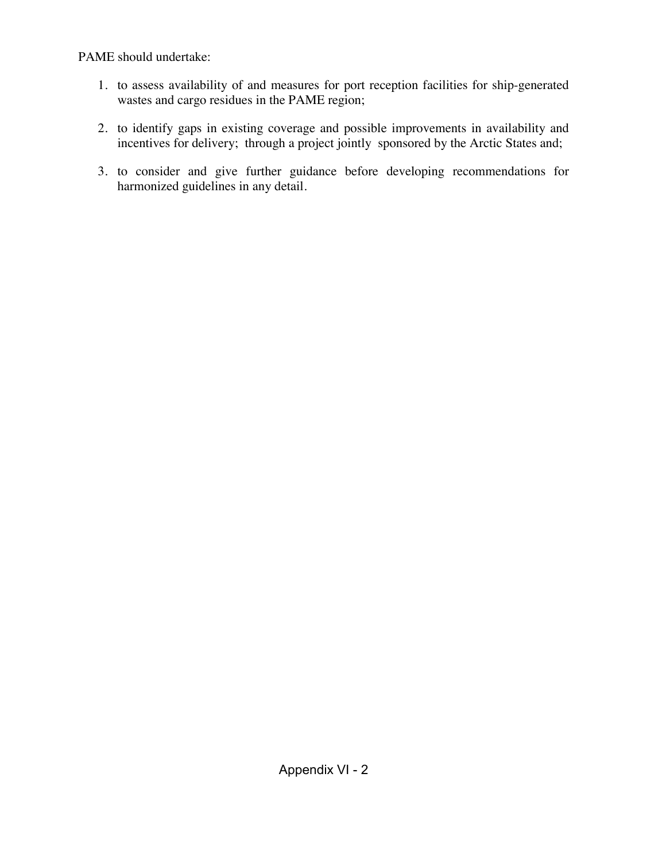PAME should undertake:

- 1. to assess availability of and measures for port reception facilities for ship-generated wastes and cargo residues in the PAME region;
- 2. to identify gaps in existing coverage and possible improvements in availability and incentives for delivery; through a project jointly sponsored by the Arctic States and;
- 3. to consider and give further guidance before developing recommendations for harmonized guidelines in any detail.